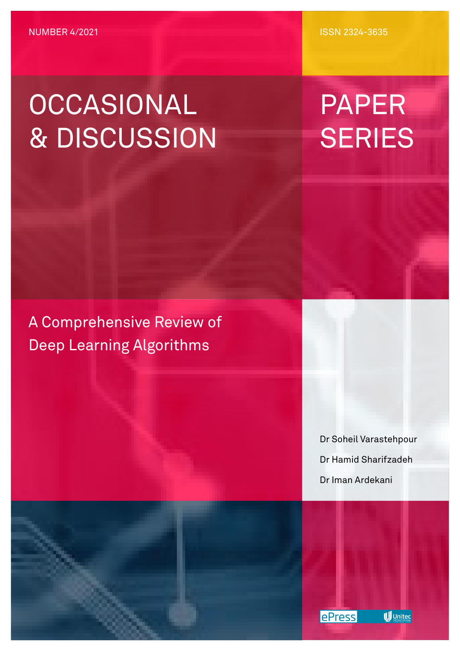ISSN 2324-3635

# OCCASIONAL & DISCUSSION

PAPER **SERIES** 

A Comprehensive Review of Deep Learning Algorithms

> Dr Soheil Varastehpour Dr Hamid Sharifzadeh Dr Iman Ardekani



**W** Unitec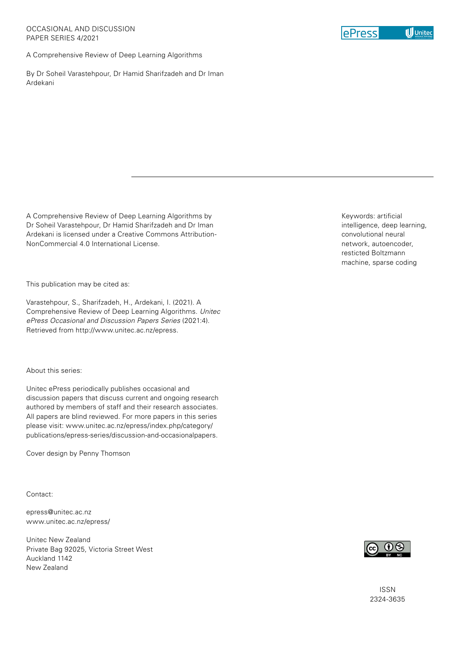A Comprehensive Review of Deep Learning Algorithms

By Dr Soheil Varastehpour, Dr Hamid Sharifzadeh and Dr Iman Ardekani

A Comprehensive Review of Deep Learning Algorithms by Dr Soheil Varastehpour, Dr Hamid Sharifzadeh and Dr Iman Ardekani is licensed under a Creative Commons Attribution-NonCommercial 4.0 International License.

This publication may be cited as:

Varastehpour, S., Sharifzadeh, H., Ardekani, I. (2021). A Comprehensive Review of Deep Learning Algorithms. *Unitec ePress Occasional and Discussion Papers Series* (2021:4). Retrieved from http://www.unitec.ac.nz/epress.

#### About this series:

Unitec ePress periodically publishes occasional and discussion papers that discuss current and ongoing research authored by members of staff and their research associates. All papers are blind reviewed. For more papers in this series please visit: www.unitec.ac.nz/epress/index.php/category/ publications/epress-series/discussion-and-occasionalpapers.

Cover design by Penny Thomson

Contact:

epress@unitec.ac.nz [www.unitec.ac.nz/epress/](http://www.unitec.ac.nz/epress/)

Unitec New Zealand Private Bag 92025, Victoria Street West Auckland 1142 New Zealand

Keywords: artificial intelligence, deep learning, convolutional neural network, autoencoder, resticted Boltzmann machine, sparse coding



ISSN 2324-3635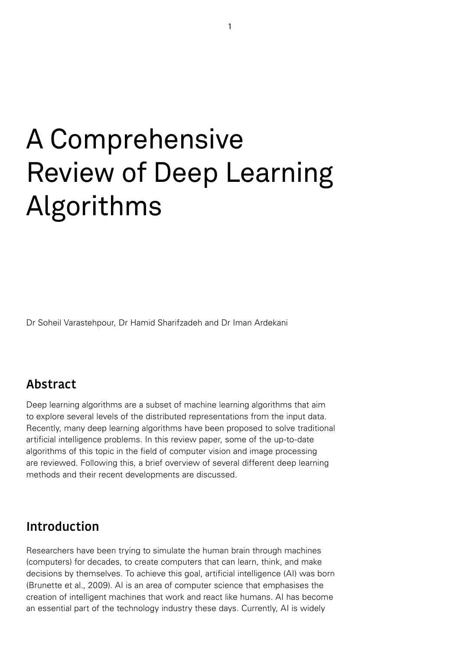# A Comprehensive Review of Deep Learning Algorithms

Dr Soheil Varastehpour, Dr Hamid Sharifzadeh and Dr Iman Ardekani

## **Abstract**

Deep learning algorithms are a subset of machine learning algorithms that aim to explore several levels of the distributed representations from the input data. Recently, many deep learning algorithms have been proposed to solve traditional artificial intelligence problems. In this review paper, some of the up-to-date algorithms of this topic in the field of computer vision and image processing are reviewed. Following this, a brief overview of several different deep learning methods and their recent developments are discussed.

### **Introduction**

Researchers have been trying to simulate the human brain through machines (computers) for decades, to create computers that can learn, think, and make decisions by themselves. To achieve this goal, artificial intelligence (AI) was born (Brunette et al., 2009). AI is an area of computer science that emphasises the creation of intelligent machines that work and react like humans. AI has become an essential part of the technology industry these days. Currently, AI is widely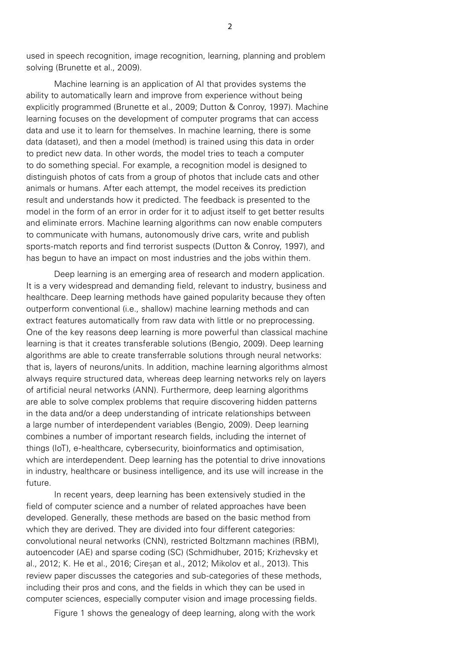used in speech recognition, image recognition, learning, planning and problem solving (Brunette et al., 2009).

Machine learning is an application of AI that provides systems the ability to automatically learn and improve from experience without being explicitly programmed (Brunette et al., 2009; Dutton & Conroy, 1997). Machine learning focuses on the development of computer programs that can access data and use it to learn for themselves. In machine learning, there is some data (dataset), and then a model (method) is trained using this data in order to predict new data. In other words, the model tries to teach a computer to do something special. For example, a recognition model is designed to distinguish photos of cats from a group of photos that include cats and other animals or humans. After each attempt, the model receives its prediction result and understands how it predicted. The feedback is presented to the model in the form of an error in order for it to adjust itself to get better results and eliminate errors. Machine learning algorithms can now enable computers to communicate with humans, autonomously drive cars, write and publish sports-match reports and find terrorist suspects (Dutton & Conroy, 1997), and has begun to have an impact on most industries and the jobs within them.

Deep learning is an emerging area of research and modern application. It is a very widespread and demanding field, relevant to industry, business and healthcare. Deep learning methods have gained popularity because they often outperform conventional (i.e., shallow) machine learning methods and can extract features automatically from raw data with little or no preprocessing. One of the key reasons deep learning is more powerful than classical machine learning is that it creates transferable solutions (Bengio, 2009). Deep learning algorithms are able to create transferrable solutions through neural networks: that is, layers of neurons/units. In addition, machine learning algorithms almost always require structured data, whereas deep learning networks rely on layers of artificial neural networks (ANN). Furthermore, deep learning algorithms are able to solve complex problems that require discovering hidden patterns in the data and/or a deep understanding of intricate relationships between a large number of interdependent variables (Bengio, 2009). Deep learning combines a number of important research fields, including the internet of things (IoT), e-healthcare, cybersecurity, bioinformatics and optimisation, which are interdependent. Deep learning has the potential to drive innovations in industry, healthcare or business intelligence, and its use will increase in the future.

In recent years, deep learning has been extensively studied in the field of computer science and a number of related approaches have been developed. Generally, these methods are based on the basic method from which they are derived. They are divided into four different categories: convolutional neural networks (CNN), restricted Boltzmann machines (RBM), autoencoder (AE) and sparse coding (SC) (Schmidhuber, 2015; Krizhevsky et al., 2012; K. He et al., 2016; Cireşan et al., 2012; Mikolov et al., 2013). This review paper discusses the categories and sub-categories of these methods, including their pros and cons, and the fields in which they can be used in computer sciences, especially computer vision and image processing fields.

Figure 1 shows the genealogy of deep learning, along with the work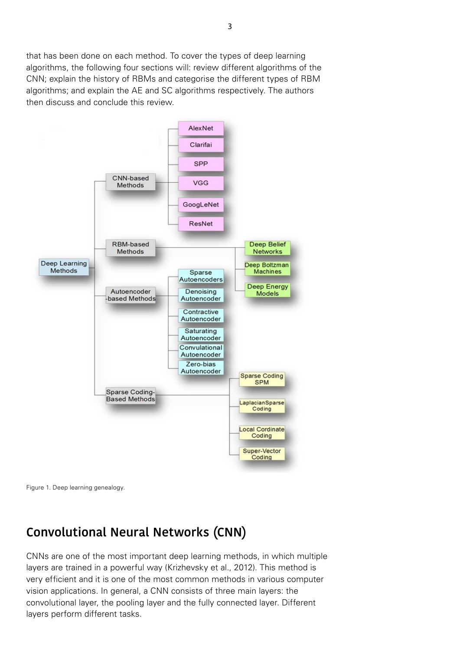that has been done on each method. To cover the types of deep learning algorithms, the following four sections will: review different algorithms of the CNN; explain the history of RBMs and categorise the different types of RBM algorithms; and explain the AE and SC algorithms respectively. The authors then discuss and conclude this review.





## **Convolutional Neural Networks (CNN)**

CNNs are one of the most important deep learning methods, in which multiple layers are trained in a powerful way (Krizhevsky et al., 2012). This method is very efficient and it is one of the most common methods in various computer vision applications. In general, a CNN consists of three main layers: the convolutional layer, the pooling layer and the fully connected layer. Different layers perform different tasks.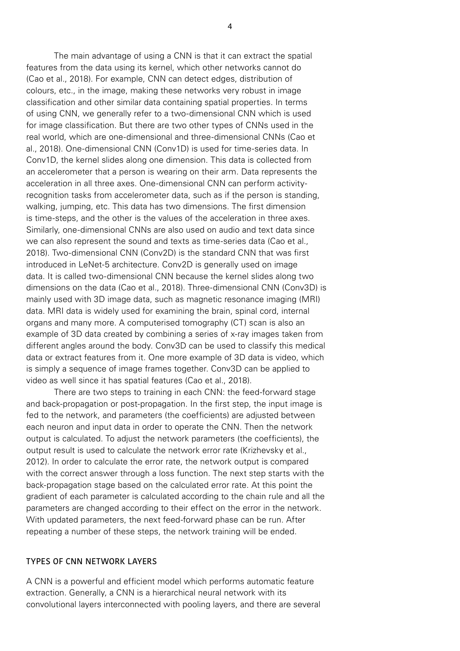The main advantage of using a CNN is that it can extract the spatial features from the data using its kernel, which other networks cannot do (Cao et al., 2018). For example, CNN can detect edges, distribution of colours, etc., in the image, making these networks very robust in image classification and other similar data containing spatial properties. In terms of using CNN, we generally refer to a two-dimensional CNN which is used for image classification. But there are two other types of CNNs used in the real world, which are one-dimensional and three-dimensional CNNs (Cao et al., 2018). One-dimensional CNN (Conv1D) is used for time-series data. In Conv1D, the kernel slides along one dimension. This data is collected from an accelerometer that a person is wearing on their arm. Data represents the acceleration in all three axes. One-dimensional CNN can perform activityrecognition tasks from accelerometer data, such as if the person is standing, walking, jumping, etc. This data has two dimensions. The first dimension is time-steps, and the other is the values of the acceleration in three axes. Similarly, one-dimensional CNNs are also used on audio and text data since we can also represent the sound and texts as time-series data (Cao et al., 2018). Two-dimensional CNN (Conv2D) is the standard CNN that was first introduced in LeNet-5 architecture. Conv2D is generally used on image data. It is called two-dimensional CNN because the kernel slides along two dimensions on the data (Cao et al., 2018). Three-dimensional CNN (Conv3D) is mainly used with 3D image data, such as magnetic resonance imaging (MRI) data. MRI data is widely used for examining the brain, spinal cord, internal organs and many more. A computerised tomography (CT) scan is also an example of 3D data created by combining a series of x-ray images taken from different angles around the body. Conv3D can be used to classify this medical data or extract features from it. One more example of 3D data is video, which is simply a sequence of image frames together. Conv3D can be applied to video as well since it has spatial features (Cao et al., 2018).

There are two steps to training in each CNN: the feed-forward stage and back-propagation or post-propagation. In the first step, the input image is fed to the network, and parameters (the coefficients) are adjusted between each neuron and input data in order to operate the CNN. Then the network output is calculated. To adjust the network parameters (the coefficients), the output result is used to calculate the network error rate (Krizhevsky et al., 2012). In order to calculate the error rate, the network output is compared with the correct answer through a loss function. The next step starts with the back-propagation stage based on the calculated error rate. At this point the gradient of each parameter is calculated according to the chain rule and all the parameters are changed according to their effect on the error in the network. With updated parameters, the next feed-forward phase can be run. After repeating a number of these steps, the network training will be ended.

#### TYPES OF CNN NETWORK LAYERS

A CNN is a powerful and efficient model which performs automatic feature extraction. Generally, a CNN is a hierarchical neural network with its convolutional layers interconnected with pooling layers, and there are several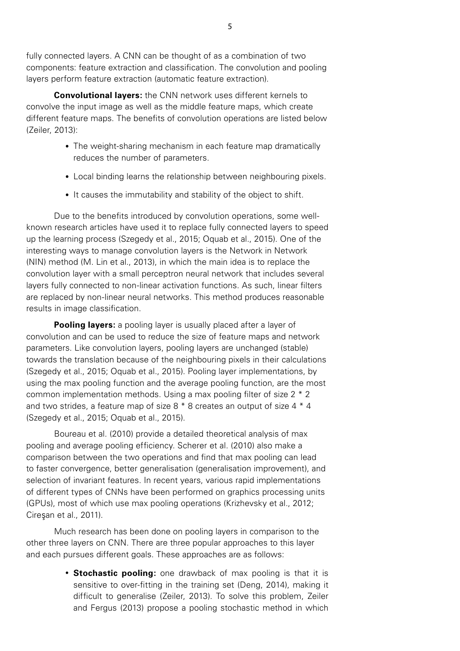fully connected layers. A CNN can be thought of as a combination of two components: feature extraction and classification. The convolution and pooling layers perform feature extraction (automatic feature extraction).

**Convolutional layers:** the CNN network uses different kernels to convolve the input image as well as the middle feature maps, which create different feature maps. The benefits of convolution operations are listed below (Zeiler, 2013):

- The weight-sharing mechanism in each feature map dramatically reduces the number of parameters.
- Local binding learns the relationship between neighbouring pixels.
- It causes the immutability and stability of the object to shift.

Due to the benefits introduced by convolution operations, some wellknown research articles have used it to replace fully connected layers to speed up the learning process (Szegedy et al., 2015; Oquab et al., 2015). One of the interesting ways to manage convolution layers is the Network in Network (NIN) method (M. Lin et al., 2013), in which the main idea is to replace the convolution layer with a small perceptron neural network that includes several layers fully connected to non-linear activation functions. As such, linear filters are replaced by non-linear neural networks. This method produces reasonable results in image classification.

**Pooling layers:** a pooling layer is usually placed after a layer of convolution and can be used to reduce the size of feature maps and network parameters. Like convolution layers, pooling layers are unchanged (stable) towards the translation because of the neighbouring pixels in their calculations (Szegedy et al., 2015; Oquab et al., 2015). Pooling layer implementations, by using the max pooling function and the average pooling function, are the most common implementation methods. Using a max pooling filter of size 2 \* 2 and two strides, a feature map of size 8 \* 8 creates an output of size 4 \* 4 (Szegedy et al., 2015; Oquab et al., 2015).

Boureau et al. (2010) provide a detailed theoretical analysis of max pooling and average pooling efficiency. Scherer et al. (2010) also make a comparison between the two operations and find that max pooling can lead to faster convergence, better generalisation (generalisation improvement), and selection of invariant features. In recent years, various rapid implementations of different types of CNNs have been performed on graphics processing units (GPUs), most of which use max pooling operations (Krizhevsky et al., 2012; Cireşan et al., 2011).

Much research has been done on pooling layers in comparison to the other three layers on CNN. There are three popular approaches to this layer and each pursues different goals. These approaches are as follows:

> **• Stochastic pooling:** one drawback of max pooling is that it is sensitive to over-fitting in the training set (Deng, 2014), making it difficult to generalise (Zeiler, 2013). To solve this problem, Zeiler and Fergus (2013) propose a pooling stochastic method in which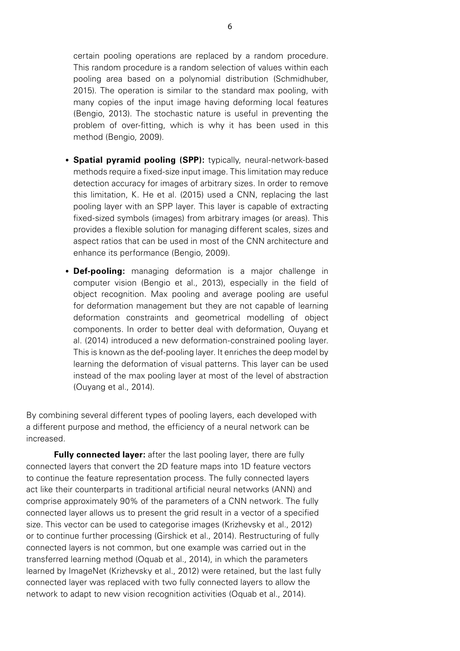certain pooling operations are replaced by a random procedure. This random procedure is a random selection of values within each pooling area based on a polynomial distribution (Schmidhuber, 2015). The operation is similar to the standard max pooling, with many copies of the input image having deforming local features (Bengio, 2013). The stochastic nature is useful in preventing the problem of over-fitting, which is why it has been used in this method (Bengio, 2009).

- **Spatial pyramid pooling (SPP):** typically, neural-network-based methods require a fixed-size input image. This limitation may reduce detection accuracy for images of arbitrary sizes. In order to remove this limitation, K. He et al. (2015) used a CNN, replacing the last pooling layer with an SPP layer. This layer is capable of extracting fixed-sized symbols (images) from arbitrary images (or areas). This provides a flexible solution for managing different scales, sizes and aspect ratios that can be used in most of the CNN architecture and enhance its performance (Bengio, 2009).
- **Def-pooling:** managing deformation is a major challenge in computer vision (Bengio et al., 2013), especially in the field of object recognition. Max pooling and average pooling are useful for deformation management but they are not capable of learning deformation constraints and geometrical modelling of object components. In order to better deal with deformation, Ouyang et al. (2014) introduced a new deformation-constrained pooling layer. This is known as the def-pooling layer. It enriches the deep model by learning the deformation of visual patterns. This layer can be used instead of the max pooling layer at most of the level of abstraction (Ouyang et al., 2014).

By combining several different types of pooling layers, each developed with a different purpose and method, the efficiency of a neural network can be increased.

**Fully connected layer:** after the last pooling layer, there are fully connected layers that convert the 2D feature maps into 1D feature vectors to continue the feature representation process. The fully connected layers act like their counterparts in traditional artificial neural networks (ANN) and comprise approximately 90% of the parameters of a CNN network. The fully connected layer allows us to present the grid result in a vector of a specified size. This vector can be used to categorise images (Krizhevsky et al., 2012) or to continue further processing (Girshick et al., 2014). Restructuring of fully connected layers is not common, but one example was carried out in the transferred learning method (Oquab et al., 2014), in which the parameters learned by ImageNet (Krizhevsky et al., 2012) were retained, but the last fully connected layer was replaced with two fully connected layers to allow the network to adapt to new vision recognition activities (Oquab et al., 2014).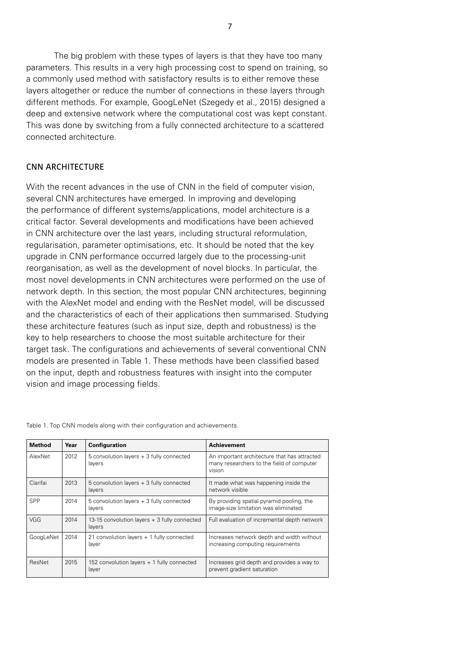The big problem with these types of layers is that they have too many parameters. This results in a very high processing cost to spend on training, so a commonly used method with satisfactory results is to either remove these layers altogether or reduce the number of connections in these layers through different methods. For example, GoogLeNet (Szegedy et al., 2015) designed a deep and extensive network where the computational cost was kept constant. This was done by switching from a fully connected architecture to a scattered connected architecture.

#### CNN ARCHITECTURE

With the recent advances in the use of CNN in the field of computer vision, several CNN architectures have emerged. In improving and developing the performance of different systems/applications, model architecture is a critical factor. Several developments and modifications have been achieved in CNN architecture over the last years, including structural reformulation, regularisation, parameter optimisations, etc. It should be noted that the key upgrade in CNN performance occurred largely due to the processing-unit reorganisation, as well as the development of novel blocks. In particular, the most novel developments in CNN architectures were performed on the use of network depth. In this section, the most popular CNN architectures, beginning with the AlexNet model and ending with the ResNet model, will be discussed and the characteristics of each of their applications then summarised. Studying these architecture features (such as input size, depth and robustness) is the key to help researchers to choose the most suitable architecture for their target task. The configurations and achievements of several conventional CNN models are presented in Table 1. These methods have been classified based on the input, depth and robustness features with insight into the computer vision and image processing fields.

| <b>Method</b> | Year | <b>Configuration</b>                                   | <b>Achievement</b>                                                                                  |
|---------------|------|--------------------------------------------------------|-----------------------------------------------------------------------------------------------------|
| AlexNet       | 2012 | 5 convolution layers + 3 fully connected<br>layers     | An important architecture that has attracted<br>many researchers to the field of computer<br>vision |
| Clarifai      | 2013 | 5 convolution layers + 3 fully connected<br>layers     | It made what was happening inside the<br>network visible                                            |
| <b>SPP</b>    | 2014 | 5 convolution layers + 3 fully connected<br>layers     | By providing spatial pyramid pooling, the<br>image-size limitation was eliminated                   |
| VGG           | 2014 | 13-15 convolution layers + 3 fully connected<br>layers | Full evaluation of incremental depth network                                                        |
| GoogLeNet     | 2014 | 21 convolution layers + 1 fully connected<br>layer     | Increases network depth and width without<br>increasing computing requirements                      |
| ResNet        | 2015 | 152 convolution layers + 1 fully connected<br>layer    | Increases grid depth and provides a way to<br>prevent gradient saturation                           |

Table 1. Top CNN models along with their configuration and achievements.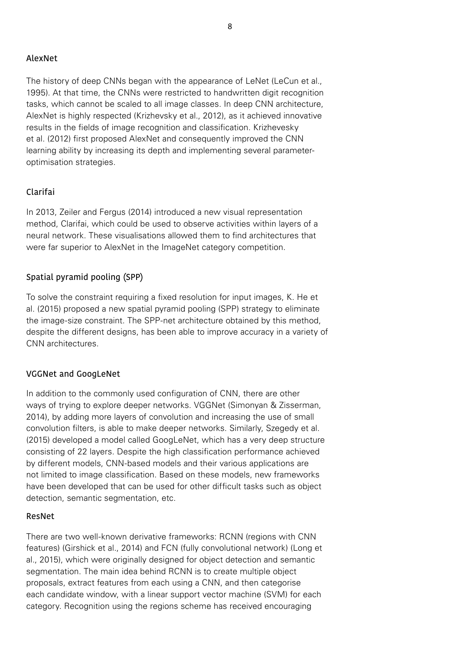#### AlexNet

The history of deep CNNs began with the appearance of LeNet (LeCun et al., 1995). At that time, the CNNs were restricted to handwritten digit recognition tasks, which cannot be scaled to all image classes. In deep CNN architecture, AlexNet is highly respected (Krizhevsky et al., 2012), as it achieved innovative results in the fields of image recognition and classification. Krizhevesky et al. (2012) first proposed AlexNet and consequently improved the CNN learning ability by increasing its depth and implementing several parameteroptimisation strategies.

#### Clarifai

In 2013, Zeiler and Fergus (2014) introduced a new visual representation method, Clarifai, which could be used to observe activities within layers of a neural network. These visualisations allowed them to find architectures that were far superior to AlexNet in the ImageNet category competition.

#### Spatial pyramid pooling (SPP)

To solve the constraint requiring a fixed resolution for input images, K. He et al. (2015) proposed a new spatial pyramid pooling (SPP) strategy to eliminate the image-size constraint. The SPP-net architecture obtained by this method, despite the different designs, has been able to improve accuracy in a variety of CNN architectures.

#### VGGNet and GoogLeNet

In addition to the commonly used configuration of CNN, there are other ways of trying to explore deeper networks. VGGNet (Simonyan & Zisserman, 2014), by adding more layers of convolution and increasing the use of small convolution filters, is able to make deeper networks. Similarly, Szegedy et al. (2015) developed a model called GoogLeNet, which has a very deep structure consisting of 22 layers. Despite the high classification performance achieved by different models, CNN-based models and their various applications are not limited to image classification. Based on these models, new frameworks have been developed that can be used for other difficult tasks such as object detection, semantic segmentation, etc.

#### ResNet

There are two well-known derivative frameworks: RCNN (regions with CNN features) (Girshick et al., 2014) and FCN (fully convolutional network) (Long et al., 2015), which were originally designed for object detection and semantic segmentation. The main idea behind RCNN is to create multiple object proposals, extract features from each using a CNN, and then categorise each candidate window, with a linear support vector machine (SVM) for each category. Recognition using the regions scheme has received encouraging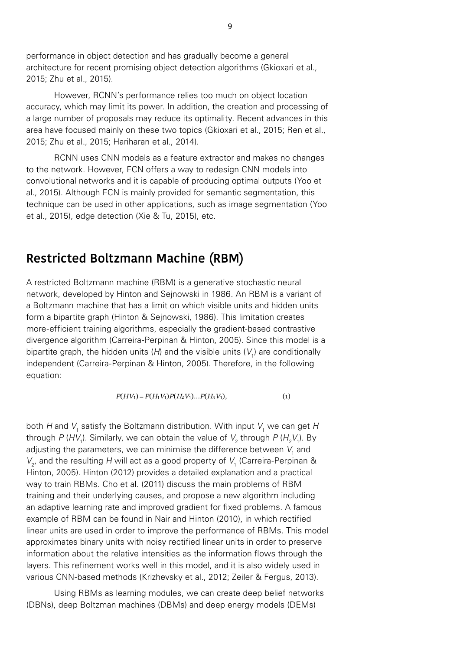performance in object detection and has gradually become a general architecture for recent promising object detection algorithms (Gkioxari et al., 2015; Zhu et al., 2015).

However, RCNN's performance relies too much on object location accuracy, which may limit its power. In addition, the creation and processing of a large number of proposals may reduce its optimality. Recent advances in this area have focused mainly on these two topics (Gkioxari et al., 2015; Ren et al., area hare reeased manny on these thre tepres (entertain of all<br>2015; Zhu et al., 2015; Hariharan et al., 2014). ; Zhu et al., 2015; Harinaran et al., 2014).

RCNN uses CNN models as a feature extractor and makes no changes to the network. However, FCN offers a way to redesign CNN models into convolutional networks and it is capable of producing optimal outputs (Yoo et al., 2015). Although FCN is mainly provided for semantic segmentation, this technique can be used in other applications, such as image segmentation (Yoo et al., 2015), edge detection (Xie & Tu, 2015), etc. **FIGRI** RECOVING MODING ALGORITHMS ALGORITHMS CONTROLLED IN A GENERAL BUILDING  $\alpha$  and  $\beta$  allegs and  $\beta$ which may limit it which may be considered it and processing  $\alpha$  $\mu$  zoro $\mu$ , daga adidomon prio  $\alpha$ 

#### Restricted Boltzmann Machine (RBM)  $\lambda$ lticled Bollzmann Machine (RBM)  $\lambda$ be used in other applications such as image segmentation (Yoo et al., 2015), edge

A restricted Boltzmann machine (RBM) is a generative stochastic neural network, developed by Hinton and Sejnowski in 1986. An RBM is a variant of a Boltzmann machine that has a limit on which visible units and hidden units form a bipartite graph (Hinton & Sejnowski, 1986). This limitation creates more-efficient training algorithms, especially the gradient-based contrastive divergence algorithm (Carreira-Perpinan & Hinton, 2005). Since this model is a bipartite graph, the hidden units (H) and the visible units ( $V$ <sub>1</sub>) are conditionally independent (Carreira-Perpinan & Hinton, 2005). Therefore, in the following equation: equation:  $\sim$  Boltzmann machine that has a limit on which visible units in which is and the set of  $\sim$  $\frac{d}{dt}$  divergence allows allow the Hinton  $\left(\frac{P}{P}\right)$  and  $\sigma$  $\lim_{\alpha\to 0}$ 

$$
P(HV_1) = P(H_1V_1)P(H_2V_1)...P(H_nV_1),
$$
\n(1)

both H and V<sub>1</sub> satisfy the Boltzmann distribution. With input V<sub>1</sub> we can get H through P (HV<sub>1</sub>). Similarly, we can obtain the value of V<sub>2</sub> through P (H<sub>2</sub>V<sub>1</sub>). By adjusting the parameters, we can minimise the difference between  $\boldsymbol{V}_{_{\!1}}$  and  $V<sub>2</sub>$ , and the resulting H will act as a good property of  $V<sub>1</sub>$  (Carreira-Perpinan & Hinton, 2005). Hinton (2012) provides a detailed explanation and a practical way to train RBMs. Cho et al. (2011) discuss the main problems of RBM training and their underlying causes, and propose a new algorithm including an adaptive learning rate and improved gradient for fixed problems. A famous example of RBM can be found in Nair and Hinton (2010), in which rectified linear units are used in order to improve the performance of RBMs. This model approximates binary units with noisy rectified linear units in order to preserve information about the relative intensities as the information flows through the layers. This refinement works well in this model, and it is also widely used in various CNN-based methods (Krizhevsky et al., 2012; Zeiler & Fergus, 2013). ight  $\tau$  (17 $v_{1}$ ). Similarly, we can obtain the value of  $v_{2}$  throug rature resulting  $n$  will act as a good property or  $r_1$  (carreira  $U$  is an individual order to provide the main problems of  $U$ 

Using RBMs as learning modules, we can create deep belief networks (DBNs), deep Boltzman machines (DBMs) and deep energy models (DEMs)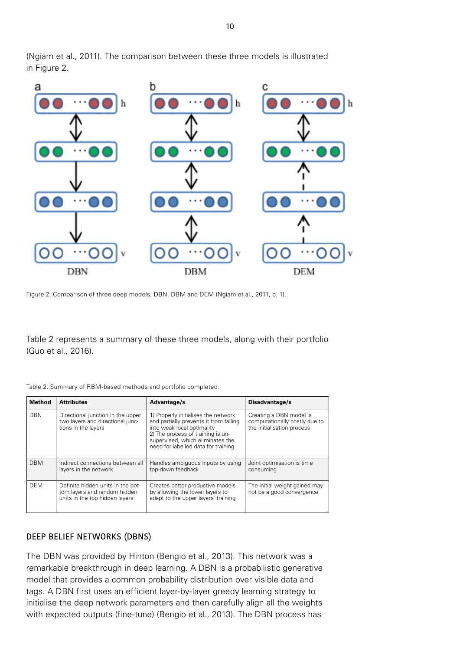

(Ngiam et al., 2011). The comparison between these three models is illustrated in Figure 2.

Figure 2. Comparison of three deep models, DBN, DBM and DEM (Ngiam et al., 2011, p. 1).

Table 2 represents a summary of these three models, along with their portfolio (Guo et al., 2016).

| Table 2. Summary of RBM-based methods and portfolio completed. |  |  |  |  |
|----------------------------------------------------------------|--|--|--|--|
|                                                                |  |  |  |  |

| <b>Method</b> | <b>Attributes</b>                                                                                   | Advantage/s                                                                                                                                                                                                                 | Disadvantage/s                                                                         |
|---------------|-----------------------------------------------------------------------------------------------------|-----------------------------------------------------------------------------------------------------------------------------------------------------------------------------------------------------------------------------|----------------------------------------------------------------------------------------|
| <b>DBN</b>    | Directional junction in the upper<br>two layers and directional junc-<br>tions in the layers        | 1) Properly initialises the network<br>and partially prevents it from falling<br>into weak local optimality<br>2) The process of training is un-<br>supervised, which eliminates the<br>need for labelled data for training | Creating a DBN model is<br>computationally costly due to<br>the initialisation process |
| <b>DBM</b>    | Indirect connections between all<br>layers in the network                                           | Handles ambiguous inputs by using<br>top-down feedback                                                                                                                                                                      | Joint optimisation is time<br>consuming                                                |
| <b>DEM</b>    | Definite hidden units in the bot-<br>tom layers and random hidden<br>units in the top hidden lavers | Creates better productive models<br>by allowing the lower layers to<br>adapt to the upper layers' training                                                                                                                  | The initial weight gained may<br>not be a good convergence                             |

#### DEEP BELIEF NETWORKS (DBNS)

The DBN was provided by Hinton (Bengio et al., 2013). This network was a remarkable breakthrough in deep learning. A DBN is a probabilistic generative model that provides a common probability distribution over visible data and tags. A DBN first uses an efficient layer-by-layer greedy learning strategy to initialise the deep network parameters and then carefully align all the weights with expected outputs (fine-tune) (Bengio et al., 2013). The DBN process has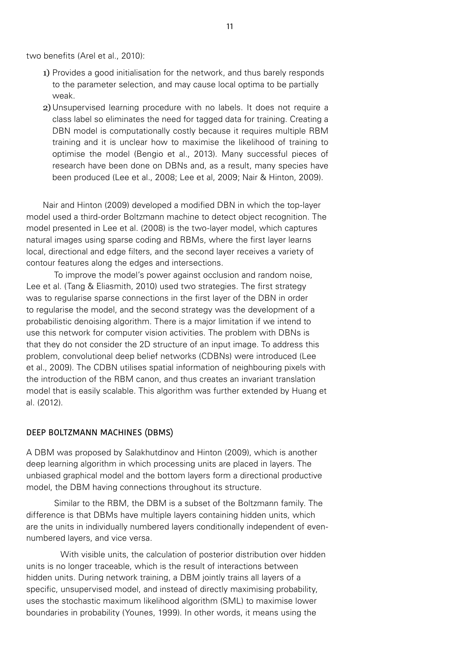two benefits (Arel et al., 2010):

- 1) Provides a good initialisation for the network, and thus barely responds to the parameter selection, and may cause local optima to be partially weak.
- 2) Unsupervised learning procedure with no labels. It does not require a class label so eliminates the need for tagged data for training. Creating a DBN model is computationally costly because it requires multiple RBM training and it is unclear how to maximise the likelihood of training to optimise the model (Bengio et al., 2013). Many successful pieces of research have been done on DBNs and, as a result, many species have been produced (Lee et al., 2008; Lee et al, 2009; Nair & Hinton, 2009).

Nair and Hinton (2009) developed a modified DBN in which the top-layer model used a third-order Boltzmann machine to detect object recognition. The model presented in Lee et al. (2008) is the two-layer model, which captures natural images using sparse coding and RBMs, where the first layer learns local, directional and edge filters, and the second layer receives a variety of contour features along the edges and intersections.

To improve the model's power against occlusion and random noise, Lee et al. (Tang & Eliasmith, 2010) used two strategies. The first strategy was to regularise sparse connections in the first layer of the DBN in order to regularise the model, and the second strategy was the development of a probabilistic denoising algorithm. There is a major limitation if we intend to use this network for computer vision activities. The problem with DBNs is that they do not consider the 2D structure of an input image. To address this problem, convolutional deep belief networks (CDBNs) were introduced (Lee et al., 2009). The CDBN utilises spatial information of neighbouring pixels with the introduction of the RBM canon, and thus creates an invariant translation model that is easily scalable. This algorithm was further extended by Huang et al. (2012).

#### DEEP BOLTZMANN MACHINES (DBMS)

A DBM was proposed by Salakhutdinov and Hinton (2009), which is another deep learning algorithm in which processing units are placed in layers. The unbiased graphical model and the bottom layers form a directional productive model, the DBM having connections throughout its structure.

Similar to the RBM, the DBM is a subset of the Boltzmann family. The difference is that DBMs have multiple layers containing hidden units, which are the units in individually numbered layers conditionally independent of evennumbered layers, and vice versa.

 With visible units, the calculation of posterior distribution over hidden units is no longer traceable, which is the result of interactions between hidden units. During network training, a DBM jointly trains all layers of a specific, unsupervised model, and instead of directly maximising probability, uses the stochastic maximum likelihood algorithm (SML) to maximise lower boundaries in probability (Younes, 1999). In other words, it means using the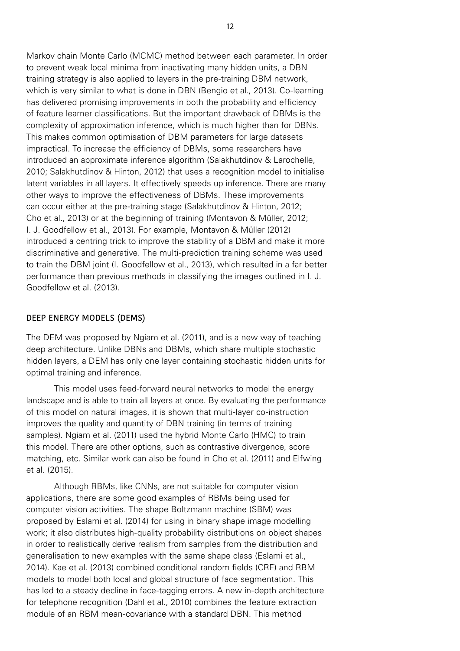Markov chain Monte Carlo (MCMC) method between each parameter. In order to prevent weak local minima from inactivating many hidden units, a DBN training strategy is also applied to layers in the pre-training DBM network, which is very similar to what is done in DBN (Bengio et al., 2013). Co-learning has delivered promising improvements in both the probability and efficiency of feature learner classifications. But the important drawback of DBMs is the complexity of approximation inference, which is much higher than for DBNs. This makes common optimisation of DBM parameters for large datasets impractical. To increase the efficiency of DBMs, some researchers have introduced an approximate inference algorithm (Salakhutdinov & Larochelle, 2010; Salakhutdinov & Hinton, 2012) that uses a recognition model to initialise latent variables in all layers. It effectively speeds up inference. There are many other ways to improve the effectiveness of DBMs. These improvements can occur either at the pre-training stage (Salakhutdinov & Hinton, 2012; Cho et al., 2013) or at the beginning of training (Montavon & Müller, 2012; I. J. Goodfellow et al., 2013). For example, Montavon & Müller (2012) introduced a centring trick to improve the stability of a DBM and make it more discriminative and generative. The multi-prediction training scheme was used to train the DBM joint (I. Goodfellow et al., 2013), which resulted in a far better performance than previous methods in classifying the images outlined in I. J. Goodfellow et al. (2013).

#### DEEP ENERGY MODELS (DEMS)

The DEM was proposed by Ngiam et al. (2011), and is a new way of teaching deep architecture. Unlike DBNs and DBMs, which share multiple stochastic hidden layers, a DEM has only one layer containing stochastic hidden units for optimal training and inference.

This model uses feed-forward neural networks to model the energy landscape and is able to train all layers at once. By evaluating the performance of this model on natural images, it is shown that multi-layer co-instruction improves the quality and quantity of DBN training (in terms of training samples). Ngiam et al. (2011) used the hybrid Monte Carlo (HMC) to train this model. There are other options, such as contrastive divergence, score matching, etc. Similar work can also be found in Cho et al. (2011) and Elfwing et al. (2015).

Although RBMs, like CNNs, are not suitable for computer vision applications, there are some good examples of RBMs being used for computer vision activities. The shape Boltzmann machine (SBM) was proposed by Eslami et al. (2014) for using in binary shape image modelling work; it also distributes high-quality probability distributions on object shapes in order to realistically derive realism from samples from the distribution and generalisation to new examples with the same shape class (Eslami et al., 2014). Kae et al. (2013) combined conditional random fields (CRF) and RBM models to model both local and global structure of face segmentation. This has led to a steady decline in face-tagging errors. A new in-depth architecture for telephone recognition (Dahl et al., 2010) combines the feature extraction module of an RBM mean-covariance with a standard DBN. This method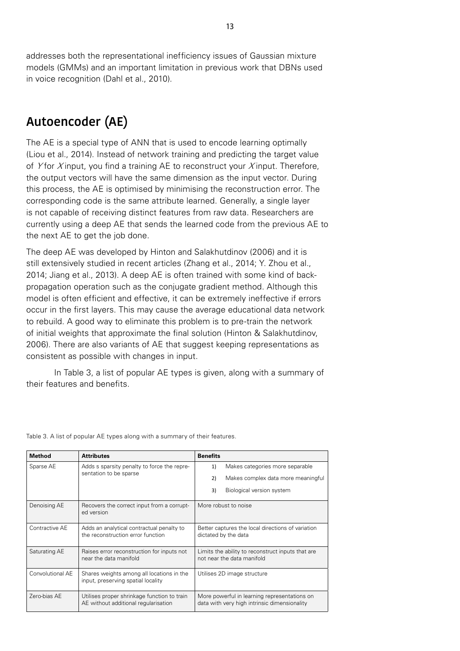addresses both the representational inefficiency issues of Gaussian mixture models (GMMs) and an important limitation in previous work that DBNs used in voice recognition (Dahl et al., 2010).

## **Autoencoder (AE)**

The AE is a special type of ANN that is used to encode learning optimally (Liou et al., 2014). Instead of network training and predicting the target value of Y for X input, you find a training AE to reconstruct your X input. Therefore, the output vectors will have the same dimension as the input vector. During this process, the AE is optimised by minimising the reconstruction error. The corresponding code is the same attribute learned. Generally, a single layer is not capable of receiving distinct features from raw data. Researchers are currently using a deep AE that sends the learned code from the previous AE to the next AE to get the job done.

The deep AE was developed by Hinton and Salakhutdinov (2006) and it is still extensively studied in recent articles (Zhang et al., 2014; Y. Zhou et al., 2014; Jiang et al., 2013). A deep AE is often trained with some kind of backpropagation operation such as the conjugate gradient method. Although this model is often efficient and effective, it can be extremely ineffective if errors occur in the first layers. This may cause the average educational data network to rebuild. A good way to eliminate this problem is to pre-train the network of initial weights that approximate the final solution (Hinton & Salakhutdinov, 2006). There are also variants of AE that suggest keeping representations as consistent as possible with changes in input.

In Table 3, a list of popular AE types is given, along with a summary of their features and benefits.

| <b>Method</b>    | <b>Attributes</b>                                                                   | <b>Benefits</b>                                                                              |  |
|------------------|-------------------------------------------------------------------------------------|----------------------------------------------------------------------------------------------|--|
| Sparse AE        | Adds s sparsity penalty to force the repre-<br>sentation to be sparse               | Makes categories more separable<br>1)                                                        |  |
|                  |                                                                                     | 2)<br>Makes complex data more meaningful                                                     |  |
|                  |                                                                                     | Biological version system<br>3)                                                              |  |
| Denoising AE     | Recovers the correct input from a corrupt-<br>ed version                            | More robust to noise                                                                         |  |
| Contractive AE   | Adds an analytical contractual penalty to<br>the reconstruction error function      | Better captures the local directions of variation<br>dictated by the data                    |  |
| Saturating AE    | Raises error reconstruction for inputs not<br>near the data manifold                | Limits the ability to reconstruct inputs that are<br>not near the data manifold              |  |
| Convolutional AE | Shares weights among all locations in the<br>input, preserving spatial locality     | Utilises 2D image structure                                                                  |  |
| Zero-bias AE     | Utilises proper shrinkage function to train<br>AE without additional regularisation | More powerful in learning representations on<br>data with very high intrinsic dimensionality |  |

Table 3. A list of popular AE types along with a summary of their features.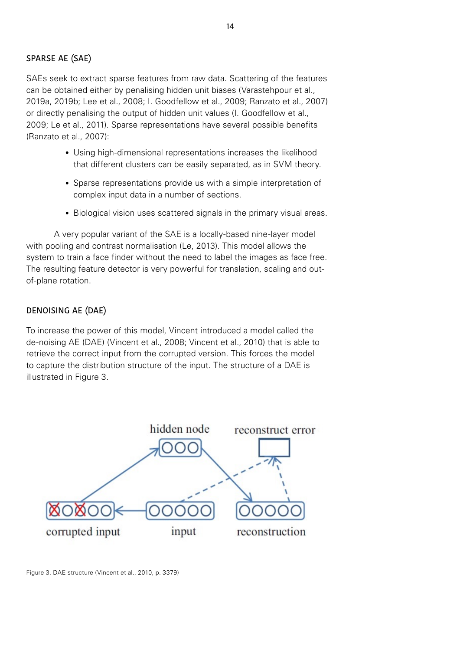#### SPARSE AE (SAE)

SAEs seek to extract sparse features from raw data. Scattering of the features can be obtained either by penalising hidden unit biases (Varastehpour et al., 2019a, 2019b; Lee et al., 2008; I. Goodfellow et al., 2009; Ranzato et al., 2007) or directly penalising the output of hidden unit values (I. Goodfellow et al., 2009; Le et al., 2011). Sparse representations have several possible benefits (Ranzato et al., 2007):

- Using high-dimensional representations increases the likelihood that different clusters can be easily separated, as in SVM theory.
- Sparse representations provide us with a simple interpretation of complex input data in a number of sections.
- Biological vision uses scattered signals in the primary visual areas.

A very popular variant of the SAE is a locally-based nine-layer model with pooling and contrast normalisation (Le, 2013). This model allows the system to train a face finder without the need to label the images as face free. The resulting feature detector is very powerful for translation, scaling and outof-plane rotation.

#### DENOISING AE (DAE)

To increase the power of this model, Vincent introduced a model called the de-noising AE (DAE) (Vincent et al., 2008; Vincent et al., 2010) that is able to retrieve the correct input from the corrupted version. This forces the model to capture the distribution structure of the input. The structure of a DAE is illustrated in Figure 3.



Figure 3. DAE structure (Vincent et al., 2010, p. 3379)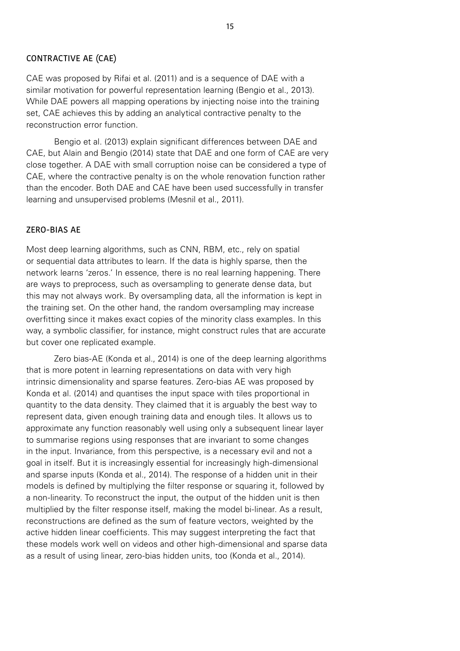#### CONTRACTIVE AE (CAE)

CAE was proposed by Rifai et al. (2011) and is a sequence of DAE with a similar motivation for powerful representation learning (Bengio et al., 2013). While DAE powers all mapping operations by injecting noise into the training set, CAE achieves this by adding an analytical contractive penalty to the reconstruction error function.

Bengio et al. (2013) explain significant differences between DAE and CAE, but Alain and Bengio (2014) state that DAE and one form of CAE are very close together. A DAE with small corruption noise can be considered a type of CAE, where the contractive penalty is on the whole renovation function rather than the encoder. Both DAE and CAE have been used successfully in transfer learning and unsupervised problems (Mesnil et al., 2011).

#### ZERO-BIAS AE

Most deep learning algorithms, such as CNN, RBM, etc., rely on spatial or sequential data attributes to learn. If the data is highly sparse, then the network learns 'zeros.' In essence, there is no real learning happening. There are ways to preprocess, such as oversampling to generate dense data, but this may not always work. By oversampling data, all the information is kept in the training set. On the other hand, the random oversampling may increase overfitting since it makes exact copies of the minority class examples. In this way, a symbolic classifier, for instance, might construct rules that are accurate but cover one replicated example.

Zero bias-AE (Konda et al., 2014) is one of the deep learning algorithms that is more potent in learning representations on data with very high intrinsic dimensionality and sparse features. Zero-bias AE was proposed by Konda et al. (2014) and quantises the input space with tiles proportional in quantity to the data density. They claimed that it is arguably the best way to represent data, given enough training data and enough tiles. It allows us to approximate any function reasonably well using only a subsequent linear layer to summarise regions using responses that are invariant to some changes in the input. Invariance, from this perspective, is a necessary evil and not a goal in itself. But it is increasingly essential for increasingly high-dimensional and sparse inputs (Konda et al., 2014). The response of a hidden unit in their models is defined by multiplying the filter response or squaring it, followed by a non-linearity. To reconstruct the input, the output of the hidden unit is then multiplied by the filter response itself, making the model bi-linear. As a result, reconstructions are defined as the sum of feature vectors, weighted by the active hidden linear coefficients. This may suggest interpreting the fact that these models work well on videos and other high-dimensional and sparse data as a result of using linear, zero-bias hidden units, too (Konda et al., 2014).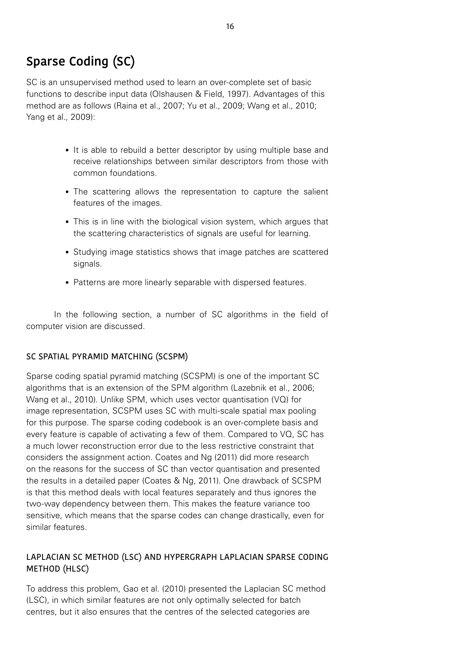## **Sparse Coding (SC)**

SC is an unsupervised method used to learn an over-complete set of basic functions to describe input data (Olshausen & Field, 1997). Advantages of this method are as follows (Raina et al., 2007; Yu et al., 2009; Wang et al., 2010; Yang et al., 2009):

- It is able to rebuild a better descriptor by using multiple base and receive relationships between similar descriptors from those with common foundations.
- The scattering allows the representation to capture the salient features of the images.
- This is in line with the biological vision system, which argues that the scattering characteristics of signals are useful for learning.
- Studying image statistics shows that image patches are scattered signals.
- Patterns are more linearly separable with dispersed features.

In the following section, a number of SC algorithms in the field of computer vision are discussed.

#### SC SPATIAL PYRAMID MATCHING (SCSPM)

Sparse coding spatial pyramid matching (SCSPM) is one of the important SC algorithms that is an extension of the SPM algorithm (Lazebnik et al., 2006; Wang et al., 2010). Unlike SPM, which uses vector quantisation (VQ) for image representation, SCSPM uses SC with multi-scale spatial max pooling for this purpose. The sparse coding codebook is an over-complete basis and every feature is capable of activating a few of them. Compared to VQ, SC has a much lower reconstruction error due to the less restrictive constraint that considers the assignment action. Coates and Ng (2011) did more research on the reasons for the success of SC than vector quantisation and presented the results in a detailed paper (Coates & Ng, 2011). One drawback of SCSPM is that this method deals with local features separately and thus ignores the two-way dependency between them. This makes the feature variance too sensitive, which means that the sparse codes can change drastically, even for similar features.

#### LAPLACIAN SC METHOD (LSC) AND HYPERGRAPH LAPLACIAN SPARSE CODING METHOD (HLSC)

To address this problem, Gao et al. (2010) presented the Laplacian SC method (LSC), in which similar features are not only optimally selected for batch centres, but it also ensures that the centres of the selected categories are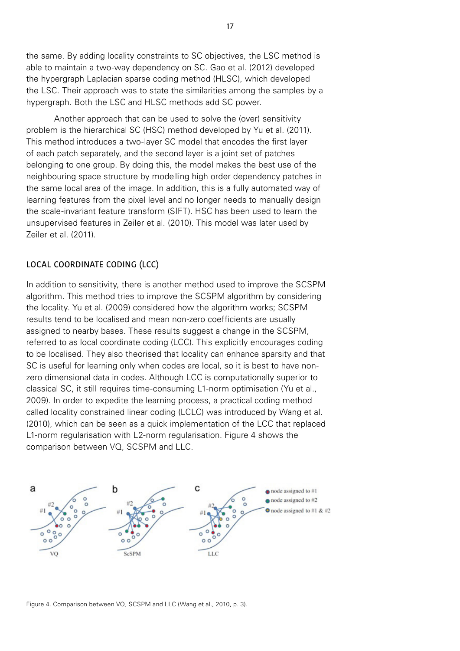the same. By adding locality constraints to SC objectives, the LSC method is able to maintain a two-way dependency on SC. Gao et al. (2012) developed the hypergraph Laplacian sparse coding method (HLSC), which developed the LSC. Their approach was to state the similarities among the samples by a hypergraph. Both the LSC and HLSC methods add SC power.

Another approach that can be used to solve the (over) sensitivity problem is the hierarchical SC (HSC) method developed by Yu et al. (2011). This method introduces a two-layer SC model that encodes the first layer of each patch separately, and the second layer is a joint set of patches belonging to one group. By doing this, the model makes the best use of the neighbouring space structure by modelling high order dependency patches in the same local area of the image. In addition, this is a fully automated way of learning features from the pixel level and no longer needs to manually design the scale-invariant feature transform (SIFT). HSC has been used to learn the unsupervised features in Zeiler et al. (2010). This model was later used by Zeiler et al. (2011).

#### LOCAL COORDINATE CODING (LCC)

In addition to sensitivity, there is another method used to improve the SCSPM algorithm. This method tries to improve the SCSPM algorithm by considering the locality. Yu et al. (2009) considered how the algorithm works; SCSPM results tend to be localised and mean non-zero coefficients are usually assigned to nearby bases. These results suggest a change in the SCSPM, referred to as local coordinate coding (LCC). This explicitly encourages coding to be localised. They also theorised that locality can enhance sparsity and that SC is useful for learning only when codes are local, so it is best to have nonzero dimensional data in codes. Although LCC is computationally superior to classical SC, it still requires time-consuming L1-norm optimisation (Yu et al., 2009). In order to expedite the learning process, a practical coding method called locality constrained linear coding (LCLC) was introduced by Wang et al. (2010), which can be seen as a quick implementation of the LCC that replaced L1-norm regularisation with L2-norm regularisation. Figure 4 shows the comparison between VQ, SCSPM and LLC.



Figure 4. Comparison between VQ, SCSPM and LLC (Wang et al., 2010, p. 3).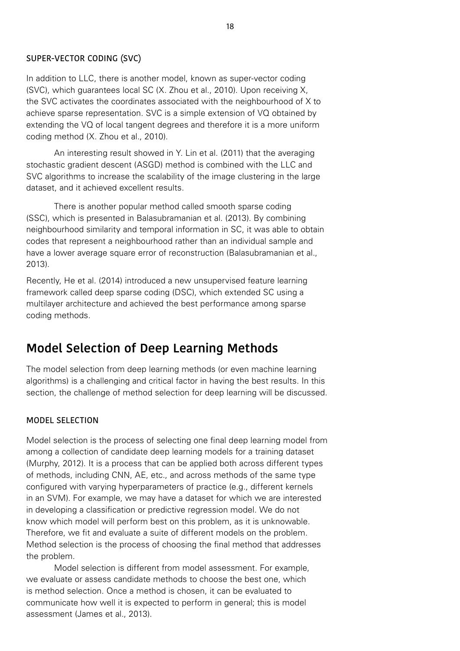#### SUPER-VECTOR CODING (SVC)

In addition to LLC, there is another model, known as super-vector coding (SVC), which guarantees local SC (X. Zhou et al., 2010). Upon receiving X, the SVC activates the coordinates associated with the neighbourhood of X to achieve sparse representation. SVC is a simple extension of VQ obtained by extending the VQ of local tangent degrees and therefore it is a more uniform coding method (X. Zhou et al., 2010).

An interesting result showed in Y. Lin et al. (2011) that the averaging stochastic gradient descent (ASGD) method is combined with the LLC and SVC algorithms to increase the scalability of the image clustering in the large dataset, and it achieved excellent results.

There is another popular method called smooth sparse coding (SSC), which is presented in Balasubramanian et al. (2013). By combining neighbourhood similarity and temporal information in SC, it was able to obtain codes that represent a neighbourhood rather than an individual sample and have a lower average square error of reconstruction (Balasubramanian et al., 2013).

Recently, He et al. (2014) introduced a new unsupervised feature learning framework called deep sparse coding (DSC), which extended SC using a multilayer architecture and achieved the best performance among sparse coding methods.

## **Model Selection of Deep Learning Methods**

The model selection from deep learning methods (or even machine learning algorithms) is a challenging and critical factor in having the best results. In this section, the challenge of method selection for deep learning will be discussed.

#### MODEL SELECTION

Model selection is the process of selecting one final deep learning model from among a collection of candidate deep learning models for a training dataset (Murphy, 2012). It is a process that can be applied both across different types of methods, including CNN, AE, etc., and across methods of the same type configured with varying hyperparameters of practice (e.g., different kernels in an SVM). For example, we may have a dataset for which we are interested in developing a classification or predictive regression model. We do not know which model will perform best on this problem, as it is unknowable. Therefore, we fit and evaluate a suite of different models on the problem. Method selection is the process of choosing the final method that addresses the problem.

Model selection is different from model assessment. For example, we evaluate or assess candidate methods to choose the best one, which is method selection. Once a method is chosen, it can be evaluated to communicate how well it is expected to perform in general; this is model assessment (James et al., 2013).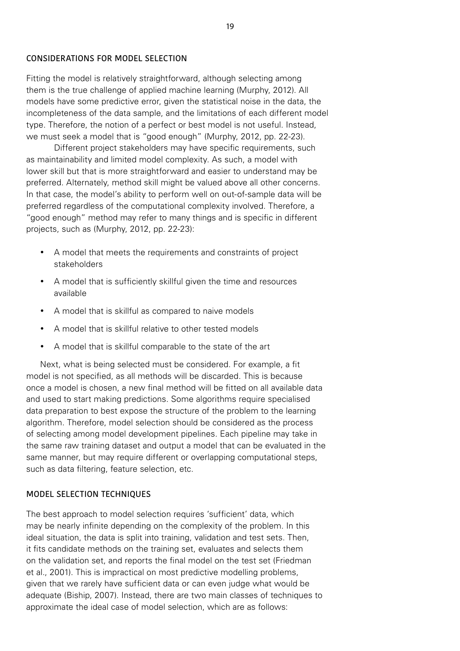#### CONSIDERATIONS FOR MODEL SELECTION

Fitting the model is relatively straightforward, although selecting among them is the true challenge of applied machine learning (Murphy, 2012). All models have some predictive error, given the statistical noise in the data, the incompleteness of the data sample, and the limitations of each different model type. Therefore, the notion of a perfect or best model is not useful. Instead, we must seek a model that is "good enough" (Murphy, 2012, pp. 22-23).

Different project stakeholders may have specific requirements, such as maintainability and limited model complexity. As such, a model with lower skill but that is more straightforward and easier to understand may be preferred. Alternately, method skill might be valued above all other concerns. In that case, the model's ability to perform well on out-of-sample data will be preferred regardless of the computational complexity involved. Therefore, a "good enough" method may refer to many things and is specific in different projects, such as (Murphy, 2012, pp. 22-23):

- A model that meets the requirements and constraints of project stakeholders
- A model that is sufficiently skillful given the time and resources available
- A model that is skillful as compared to naive models
- A model that is skillful relative to other tested models
- A model that is skillful comparable to the state of the art

Next, what is being selected must be considered. For example, a fit model is not specified, as all methods will be discarded. This is because once a model is chosen, a new final method will be fitted on all available data and used to start making predictions. Some algorithms require specialised data preparation to best expose the structure of the problem to the learning algorithm. Therefore, model selection should be considered as the process of selecting among model development pipelines. Each pipeline may take in the same raw training dataset and output a model that can be evaluated in the same manner, but may require different or overlapping computational steps, such as data filtering, feature selection, etc.

#### MODEL SELECTION TECHNIQUES

The best approach to model selection requires 'sufficient' data, which may be nearly infinite depending on the complexity of the problem. In this ideal situation, the data is split into training, validation and test sets. Then, it fits candidate methods on the training set, evaluates and selects them on the validation set, and reports the final model on the test set (Friedman et al., 2001). This is impractical on most predictive modelling problems, given that we rarely have sufficient data or can even judge what would be adequate (Biship, 2007). Instead, there are two main classes of techniques to approximate the ideal case of model selection, which are as follows: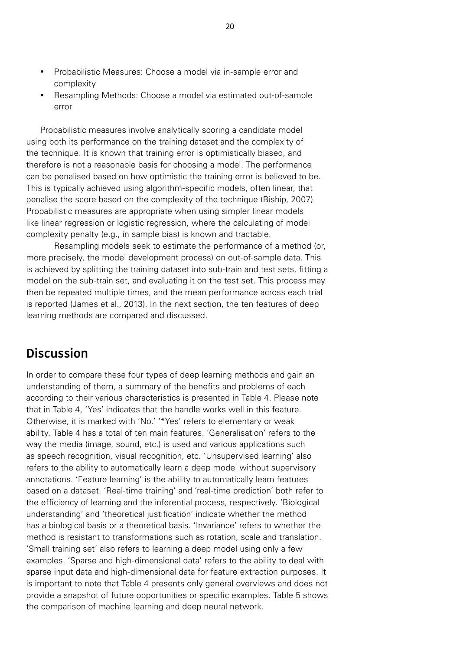- Probabilistic Measures: Choose a model via in-sample error and complexity
- Resampling Methods: Choose a model via estimated out-of-sample error

Probabilistic measures involve analytically scoring a candidate model using both its performance on the training dataset and the complexity of the technique. It is known that training error is optimistically biased, and therefore is not a reasonable basis for choosing a model. The performance can be penalised based on how optimistic the training error is believed to be. This is typically achieved using algorithm-specific models, often linear, that penalise the score based on the complexity of the technique (Biship, 2007). Probabilistic measures are appropriate when using simpler linear models like linear regression or logistic regression, where the calculating of model complexity penalty (e.g., in sample bias) is known and tractable.

Resampling models seek to estimate the performance of a method (or, more precisely, the model development process) on out-of-sample data. This is achieved by splitting the training dataset into sub-train and test sets, fitting a model on the sub-train set, and evaluating it on the test set. This process may then be repeated multiple times, and the mean performance across each trial is reported (James et al., 2013). In the next section, the ten features of deep learning methods are compared and discussed.

## **Discussion**

In order to compare these four types of deep learning methods and gain an understanding of them, a summary of the benefits and problems of each according to their various characteristics is presented in Table 4. Please note that in Table 4, 'Yes' indicates that the handle works well in this feature. Otherwise, it is marked with 'No.' '\*Yes' refers to elementary or weak ability. Table 4 has a total of ten main features. 'Generalisation' refers to the way the media (image, sound, etc.) is used and various applications such as speech recognition, visual recognition, etc. 'Unsupervised learning' also refers to the ability to automatically learn a deep model without supervisory annotations. 'Feature learning' is the ability to automatically learn features based on a dataset. 'Real-time training' and 'real-time prediction' both refer to the efficiency of learning and the inferential process, respectively. 'Biological understanding' and 'theoretical justification' indicate whether the method has a biological basis or a theoretical basis. 'Invariance' refers to whether the method is resistant to transformations such as rotation, scale and translation. 'Small training set' also refers to learning a deep model using only a few examples. 'Sparse and high-dimensional data' refers to the ability to deal with sparse input data and high-dimensional data for feature extraction purposes. It is important to note that Table 4 presents only general overviews and does not provide a snapshot of future opportunities or specific examples. Table 5 shows the comparison of machine learning and deep neural network.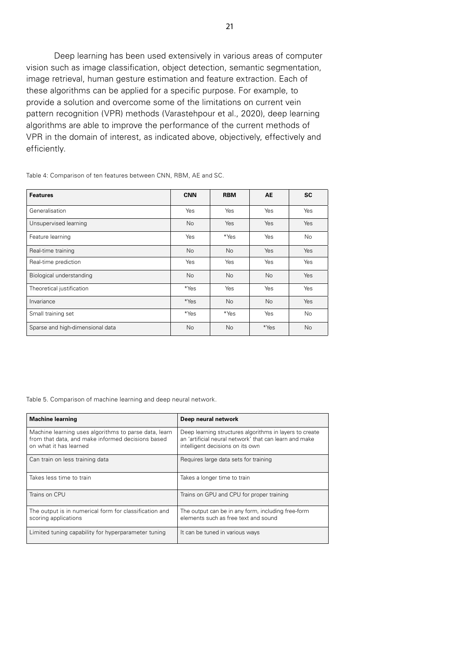Deep learning has been used extensively in various areas of computer vision such as image classification, object detection, semantic segmentation, image retrieval, human gesture estimation and feature extraction. Each of these algorithms can be applied for a specific purpose. For example, to provide a solution and overcome some of the limitations on current vein pattern recognition (VPR) methods (Varastehpour et al., 2020), deep learning algorithms are able to improve the performance of the current methods of VPR in the domain of interest, as indicated above, objectively, effectively and efficiently.

**Features CNN RBM AE SC** Generalisation **Yes** Yes Yes Yes Yes Yes Yes Unsupervised learning and the Mo Yes Yes Yes Yes Yes Feature learning The Test of the Season of the Yes No Yes No Yes No Yes No Yes No Real-time training and the No No Yes Yes Yes Yes Yes Real-time prediction **Network** Yes Yes Yes Yes Yes Yes Yes Biological understanding No No No No Yes Theoretical justification **Theoretical intervention**  $*Y$ es Yes Yes Yes Yes Invariance the three terms of the terms of the terms of the Yes  $\vert$  . No  $\vert$  No  $\vert$  Yes Small training set **All Small training set** All Small training set No Sparse and high-dimensional data No No No \*Yes No

Table 4: Comparison of ten features between CNN, RBM, AE and SC.

Table 5. Comparison of machine learning and deep neural network.

| <b>Machine learning</b>                                                                                                              | Deep neural network                                                                                                                                   |
|--------------------------------------------------------------------------------------------------------------------------------------|-------------------------------------------------------------------------------------------------------------------------------------------------------|
| Machine learning uses algorithms to parse data, learn<br>from that data, and make informed decisions based<br>on what it has learned | Deep learning structures algorithms in layers to create<br>an 'artificial neural network' that can learn and make<br>intelligent decisions on its own |
| Can train on less training data                                                                                                      | Requires large data sets for training                                                                                                                 |
| Takes less time to train                                                                                                             | Takes a longer time to train                                                                                                                          |
| Trains on CPU                                                                                                                        | Trains on GPU and CPU for proper training                                                                                                             |
| The output is in numerical form for classification and<br>scoring applications                                                       | The output can be in any form, including free-form<br>elements such as free text and sound                                                            |
| Limited tuning capability for hyperparameter tuning                                                                                  | It can be tuned in various ways                                                                                                                       |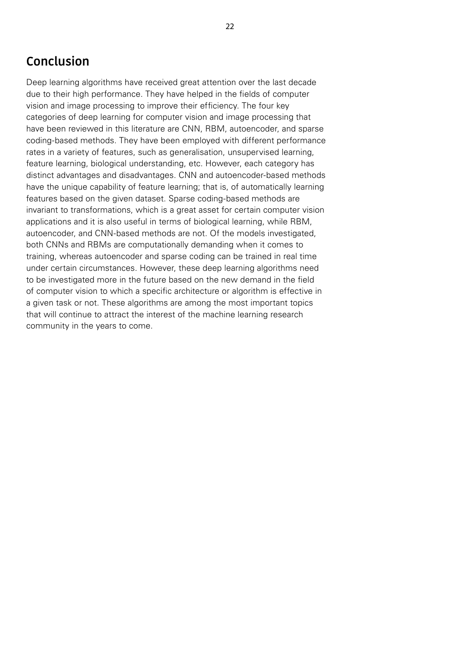## **Conclusion**

Deep learning algorithms have received great attention over the last decade due to their high performance. They have helped in the fields of computer vision and image processing to improve their efficiency. The four key categories of deep learning for computer vision and image processing that have been reviewed in this literature are CNN, RBM, autoencoder, and sparse coding-based methods. They have been employed with different performance rates in a variety of features, such as generalisation, unsupervised learning, feature learning, biological understanding, etc. However, each category has distinct advantages and disadvantages. CNN and autoencoder-based methods have the unique capability of feature learning; that is, of automatically learning features based on the given dataset. Sparse coding-based methods are invariant to transformations, which is a great asset for certain computer vision applications and it is also useful in terms of biological learning, while RBM, autoencoder, and CNN-based methods are not. Of the models investigated, both CNNs and RBMs are computationally demanding when it comes to training, whereas autoencoder and sparse coding can be trained in real time under certain circumstances. However, these deep learning algorithms need to be investigated more in the future based on the new demand in the field of computer vision to which a specific architecture or algorithm is effective in a given task or not. These algorithms are among the most important topics that will continue to attract the interest of the machine learning research community in the years to come.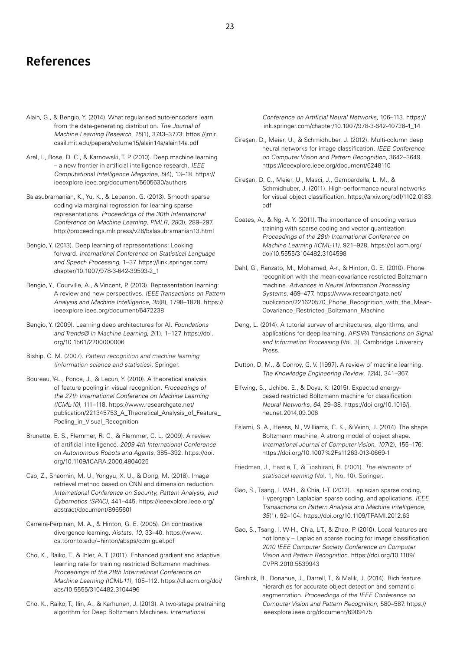### **References**

- Alain, G., & Bengio, Y. (2014). What regularised auto-encoders learn from the data-generating distribution. The Journal of Machine Learning Research, 15(1), 3743–3773. [https://jmlr.](https://jmlr.csail.mit.edu/papers/volume15/alain14a/alain14a.pdf) [csail.mit.edu/papers/volume15/alain14a/alain14a.pdf](https://jmlr.csail.mit.edu/papers/volume15/alain14a/alain14a.pdf)
- Arel, I., Rose, D. C., & Karnowski, T. P. (2010). Deep machine learning – a new frontier in artificial intelligence research. IEEE Computational Intelligence Magazine, 5(4), 13–18. [https://](https://ieeexplore.ieee.org/document/5605630/authors) [ieeexplore.ieee.org/document/5605630/authors](https://ieeexplore.ieee.org/document/5605630/authors)
- Balasubramanian, K., Yu, K., & Lebanon, G. (2013). Smooth sparse coding via marginal regression for learning sparse representations. Proceedings of the 30th International Conference on Machine Learning, PMLR, 28(3), 289–297. <http://proceedings.mlr.press/v28/balasubramanian13.html>
- Bengio, Y. (2013). Deep learning of representations: Looking forward. International Conference on Statistical Language and Speech Processing, 1–37. [https://link.springer.com/](https://link.springer.com/chapter/10.1007/978-3-642-39593-2_1) [chapter/10.1007/978-3-642-39593-2\\_1](https://link.springer.com/chapter/10.1007/978-3-642-39593-2_1)
- Bengio, Y., Courville, A., & Vincent, P. (2013). Representation learning: A review and new perspectives. IEEE Transactions on Pattern Analysis and Machine Intelligence, 35(8), 1798–1828. [https://](https://ieeexplore.ieee.org/document/6472238) [ieeexplore.ieee.org/document/6472238](https://ieeexplore.ieee.org/document/6472238)
- Bengio, Y. (2009). Learning deep architectures for AI. Foundations and Trends® in Machine Learning, 2(1), 1–127. [https://doi.](https://doi.org/10.1561/2200000006) [org/10.1561/2200000006](https://doi.org/10.1561/2200000006)
- Biship, C. M. (2007). Pattern recognition and machine learning (information science and statistics). Springer.
- Boureau, Y-L., Ponce, J., & Lecun, Y. (2010). A theoretical analysis of feature pooling in visual recognition. Proceedings of the 27th International Conference on Machine Learning (ICML-10), 111–118. [https://www.researchgate.net/](https://www.researchgate.net/publication/221345753_A_Theoretical_Analysis_of_Feature_Pooling_in_Visual_Recognition) [publication/221345753\\_A\\_Theoretical\\_Analysis\\_of\\_Feature\\_](https://www.researchgate.net/publication/221345753_A_Theoretical_Analysis_of_Feature_Pooling_in_Visual_Recognition) [Pooling\\_in\\_Visual\\_Recognition](https://www.researchgate.net/publication/221345753_A_Theoretical_Analysis_of_Feature_Pooling_in_Visual_Recognition)
- Brunette, E. S., Flemmer, R. C., & Flemmer, C. L. (2009). A review of artificial intelligence. 2009 4th International Conference on Autonomous Robots and Agents, 385–392. [https://doi.](https://doi.org/10.1109/ICARA.2000.4804025) [org/10.1109/ICARA.2000.4804025](https://doi.org/10.1109/ICARA.2000.4804025)
- Cao, Z., Shaomin, M. U., Yongyu, X. U., & Dong, M. (2018). Image retrieval method based on CNN and dimension reduction. International Conference on Security, Pattern Analysis, and Cybernetics (SPAC), 441–445. [https://ieeexplore.ieee.org/](https://ieeexplore.ieee.org/abstract/document/8965601) [abstract/document/8965601](https://ieeexplore.ieee.org/abstract/document/8965601)
- Carreira-Perpinan, M. A., & Hinton, G. E. (2005). On contrastive divergence learning. Aistats, 10, 33–40. [https://www.](https://www.cs.toronto.edu/~hinton/absps/cdmiguel.pdf) [cs.toronto.edu/~hinton/absps/cdmiguel.pdf](https://www.cs.toronto.edu/~hinton/absps/cdmiguel.pdf)
- Cho, K., Raiko, T., & Ihler, A. T. (2011). Enhanced gradient and adaptive learning rate for training restricted Boltzmann machines. Proceedings of the 28th International Conference on Machine Learning (ICML-11), 105–112. [https://dl.acm.org/doi/](https://dl.acm.org/doi/abs/10.5555/3104482.3104496) [abs/10.5555/3104482.3104496](https://dl.acm.org/doi/abs/10.5555/3104482.3104496)
- Cho, K., Raiko, T., Ilin, A., & Karhunen, J. (2013). A two-stage pretraining algorithm for Deep Boltzmann Machines. International

Conference on Artificial Neural Networks, 106–113. [https://](https://link.springer.com/chapter/10.1007/978-3-642-40728-4_14) [link.springer.com/chapter/10.1007/978-3-642-40728-4\\_14](https://link.springer.com/chapter/10.1007/978-3-642-40728-4_14)

- Cireşan, D., Meier, U., & Schmidhuber, J. (2012). Multi-column deep neural networks for image classification. [IEEE Conference](about:blank)  [on Computer Vision and Pattern Recognition](about:blank), 3642–3649. <https://ieeexplore.ieee.org/document/6248110>
- Cireşan, D. C., Meier, U., Masci, J., Gambardella, L. M., & Schmidhuber, J. (2011). High-performance neural networks for visual object classification. [https://arxiv.org/pdf/1102.0183.](https://arxiv.org/pdf/1102.0183.pdf) [pdf](https://arxiv.org/pdf/1102.0183.pdf)
- Coates, A., & Ng, A. Y. (2011). The importance of encoding versus training with sparse coding and vector quantization. Proceedings of the 28th International Conference on Machine Learning (ICML-11), 921–928. [https://dl.acm.org/](https://dl.acm.org/doi/10.5555/3104482.3104598) [doi/10.5555/3104482.3104598](https://dl.acm.org/doi/10.5555/3104482.3104598)
- Dahl, G., Ranzato, M., Mohamed, A-r., & Hinton, G. E. (2010). Phone recognition with the mean-covariance restricted Boltzmann machine. Advances in Neural Information Processing Systems, 469–477. [https://www.researchgate.net/](https://www.researchgate.net/publication/221620570_Phone_Recognition_with_the_Mean-Covariance_Restricted_Boltzmann_Machine) [publication/221620570\\_Phone\\_Recognition\\_with\\_the\\_Mean-](https://www.researchgate.net/publication/221620570_Phone_Recognition_with_the_Mean-Covariance_Restricted_Boltzmann_Machine)[Covariance\\_Restricted\\_Boltzmann\\_Machine](https://www.researchgate.net/publication/221620570_Phone_Recognition_with_the_Mean-Covariance_Restricted_Boltzmann_Machine)
- Deng, L. (2014). A tutorial survey of architectures, algorithms, and applications for deep learning. APSIPA Transactions on Signal and Information Processing (Vol. 3). Cambridge University Press.
- Dutton, D. M., & Conroy, G. V. (1997). A review of machine learning. The Knowledge Engineering Review, 12(4), 341–367.
- Elfwing, S., Uchibe, E., & Doya, K. (2015). Expected energybased restricted Boltzmann machine for classification. Neural Networks, 64, 29–38. [https://doi.org/10.1016/j.](https://doi.org/10.1016/j.neunet.2014.09.006) [neunet.2014.09.006](https://doi.org/10.1016/j.neunet.2014.09.006)
- Eslami, S. A., Heess, N., Williams, C. K., & Winn, J. (2014). The shape Boltzmann machine: A strong model of object shape. International Journal of Computer Vision, 107(2), 155–176. <https://doi.org/10.1007%2Fs11263-013-0669-1>
- Friedman, J., Hastie, T., & Tibshirani, R. (2001). The elements of statistical learning (Vol. 1, No. 10). Springer.
- Gao, S., Tsang, I. W-H., & Chia, L-T. (2012). Laplacian sparse coding, Hypergraph Laplacian sparse coding, and applications. IEEE Transactions on Pattern Analysis and Machine Intelligence, 35(1), 92–104. <https://doi.org/10.1109/TPAMI.2012.63>
- Gao, S., Tsang, I. W-H., Chia, L-T., & Zhao, P. (2010). Local features are not lonely – Laplacian sparse coding for image classification. [2010 IEEE Computer Society Conference on Computer](about:blank)  [Vision and Pattern Recognition](about:blank). [https://doi.org/10.1109/](https://doi.org/10.1109/CVPR.2010.5539943) [CVPR.2010.5539943](https://doi.org/10.1109/CVPR.2010.5539943)
- Girshick, R., Donahue, J., Darrell, T., & Malik, J. (2014). Rich feature hierarchies for accurate object detection and semantic segmentation. Proceedings of the IEEE Conference on Computer Vision and Pattern Recognition, 580–587. [https://](https://ieeexplore.ieee.org/document/6909475) [ieeexplore.ieee.org/document/6909475](https://ieeexplore.ieee.org/document/6909475)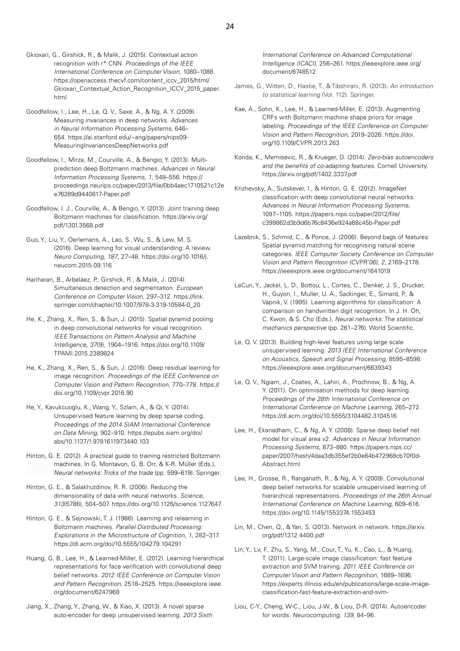- Gkioxari, G., Girshick, R., & Malik, J. (2015). Contextual action recognition with r\* CNN. Proceedings of the IEEE International Conference on Computer Vision, 1080–1088. [https://openaccess.thecvf.com/content\\_iccv\\_2015/html/](https://openaccess.thecvf.com/content_iccv_2015/html/Gkioxari_Contextual_Action_Recognition_ICCV_2015_paper.html) [Gkioxari\\_Contextual\\_Action\\_Recognition\\_ICCV\\_2015\\_paper.](https://openaccess.thecvf.com/content_iccv_2015/html/Gkioxari_Contextual_Action_Recognition_ICCV_2015_paper.html) [html](https://openaccess.thecvf.com/content_iccv_2015/html/Gkioxari_Contextual_Action_Recognition_ICCV_2015_paper.html)
- Goodfellow, I., Lee, H., Le, Q. V., Saxe, A., & Ng, A. Y. (2009). Measuring invariances in deep networks. Advances in Neural Information Processing Systems, 646– 654. [https://ai.stanford.edu/~ang/papers/nips09-](https://ai.stanford.edu/~ang/papers/nips09-MeasuringInvariancesDeepNetworks.pdf) [MeasuringInvariancesDeepNetworks.pdf](https://ai.stanford.edu/~ang/papers/nips09-MeasuringInvariancesDeepNetworks.pdf)
- Goodfellow, I., Mirza, M., Courville, A., & Bengio, Y. (2013). Multiprediction deep Boltzmann machines. Advances in Neural Information Processing Systems, 1, 548–556. [https://](https://proceedings.neurips.cc/paper/2013/file/0bb4aec1710521c12ee76289d9440817-Paper.pdf) [proceedings.neurips.cc/paper/2013/file/0bb4aec1710521c12e](https://proceedings.neurips.cc/paper/2013/file/0bb4aec1710521c12ee76289d9440817-Paper.pdf) [e76289d9440817-Paper.pdf](https://proceedings.neurips.cc/paper/2013/file/0bb4aec1710521c12ee76289d9440817-Paper.pdf)
- Goodfellow, I. J., Courville, A., & Bengio, Y. (2013). Joint training deep Boltzmann machines for classification. [https://arxiv.org/](https://arxiv.org/pdf/1301.3568.pdf) [pdf/1301.3568.pdf](https://arxiv.org/pdf/1301.3568.pdf)
- Guo, Y., Liu, Y., Oerlemans, A., Lao, S., Wu, S., & Lew, M. S. (2016). Deep learning for visual understanding: A review. Neuro Computing, 187, 27–48. [https://doi.org/10.1016/j.](https://doi.org/10.1016/j.neucom.2015.09.116) [neucom.2015.09.116](https://doi.org/10.1016/j.neucom.2015.09.116)
- Hariharan, B., Arbeláez, P., Girshick, R., & Malik, J. (2014). Simultaneous detection and segmentation. European Conference on Computer Vision, 297–312. [https://link.](https://link.springer.com/chapter/10.1007/978-3-319-10584-0_20) [springer.com/chapter/10.1007/978-3-319-10584-0\\_20](https://link.springer.com/chapter/10.1007/978-3-319-10584-0_20)
- He, K., Zhang, X., Ren, S., & Sun, J. (2015). Spatial pyramid pooling in deep convolutional networks for visual recognition. IEEE Transactions on Pattern Analysis and Machine Intelligence, 37(9), 1904–1916. [https://doi.org/10.1109/](https://doi.org/10.1109/TPAMI.2015.2389824) [TPAMI.2015.2389824](https://doi.org/10.1109/TPAMI.2015.2389824)
- He, K., Zhang, X., Ren, S., & Sun, J. (2016). Deep residual learning for image recognition. Proceedings of the IEEE Conference on Computer Vision and Pattern Recognition, 770–778. [https://](https://doi.org/10.1109/cvpr.2016.90) [doi.org/10.1109/cvpr.2016.90](https://doi.org/10.1109/cvpr.2016.90)
- He, Y., Kavukcuoglu, K., Wang, Y., Szlam, A., & Qi, Y. (2014). Unsupervised feature learning by deep sparse coding. Proceedings of the 2014 SIAM International Conference on Data Mining, 902–910. [https://epubs.siam.org/doi/](https://epubs.siam.org/doi/abs/10.1137/1.9781611973440.103) [abs/10.1137/1.9781611973440.103](https://epubs.siam.org/doi/abs/10.1137/1.9781611973440.103)
- Hinton, G. E. (2012). A practical guide to training restricted Boltzmann machines. In G. Montavon, G. B. Orr, & K-R. Müller (Eds.), Neural networks: Tricks of the trade (pp. 599–619). Springer.
- Hinton, G. E., & Salakhutdinov, R. R. (2006). Reducing the dimensionality of data with neural networks. Science, 313(5786), 504–507. <https://doi.org/10.1126/science.1127647>
- Hinton, G. E., & Sejnowski, T. J. (1986). Learning and relearning in Boltzmann machines. Parallel Distributed Processing: Explorations in the Microstructure of Cognition, 1, 282–317. <https://dl.acm.org/doi/10.5555/104279.104291>
- Huang, G. B., Lee, H., & Learned-Miller, E. (2012). Learning hierarchical representations for face verification with convolutional deep belief networks. 2012 IEEE Conference on Computer Vision and Pattern Recognition, 2518–2525. [https://ieeexplore.ieee.](https://ieeexplore.ieee.org/document/6247968) [org/document/6247968](https://ieeexplore.ieee.org/document/6247968)
- Jiang, X., Zhang, Y., Zhang, W., & Xiao, X. (2013). A novel sparse auto-encoder for deep unsupervised learning. 2013 Sixth

International Conference on Advanced Computational Intelligence (ICACI), 256–261. [https://ieeexplore.ieee.org/](https://ieeexplore.ieee.org/document/6748512) [document/6748512](https://ieeexplore.ieee.org/document/6748512)

- James, G., Witten, D., Hastie, T., & Tibshirani, R. (2013). An introduction to statistical learning (Vol. 112). Springer.
- Kae, A., Sohn, K., Lee, H., & Learned-Miller, E. (2013). Augmenting CRFs with Boltzmann machine shape priors for image labeling. Proceedings of the IEEE Conference on Computer Vision and Pattern Recognition, 2019–2026. [https://doi.](https://doi.org/10.1109/CVPR.2013.263) [org/10.1109/CVPR.2013.263](https://doi.org/10.1109/CVPR.2013.263)
- Konda, K., Memisevic, R., & Krueger, D. (2014). Zero-bias autoencoders and the benefits of co-adapting features. Cornell University. <https://arxiv.org/pdf/1402.3337.pdf>
- Krizhevsky, A., Sutskever, I., & Hinton, G. E. (2012). ImageNet classification with deep convolutional neural networks. Advances in Neural Information Processing Systems, 1097–1105. [https://papers.nips.cc/paper/2012/file/](https://papers.nips.cc/paper/2012/file/c399862d3b9d6b76c8436e924a68c45b-Paper.pdf) [c399862d3b9d6b76c8436e924a68c45b-Paper.pdf](https://papers.nips.cc/paper/2012/file/c399862d3b9d6b76c8436e924a68c45b-Paper.pdf)
- Lazebnik, S., Schmid, C., & Ponce, J. (2006). Beyond bags of features: Spatial pyramid matching for recognising natural scene categories. IEEE Computer Society Conference on Computer Vision and Pattern Recognition (CVPR'06), 2, 2169–2178. <https://ieeexplore.ieee.org/document/1641019>
- LeCun, Y., Jackel, L. D., Bottou, L., Cortes, C., Denker, J. S., Drucker, H., Guyon, I., Muller, U. A., Sackinger, E., Simard, P., & Vapnik, V. (1995). Learning algorithms for classification: A comparison on handwritten digit recognition. In J. H. Oh, C. Kwon, & S. Cho (Eds.), Neural networks: The statistical mechanics perspective (pp. 261–276). World Scientific.
- Le, Q. V. (2013). Building high-level features using large scale unsupervised learning. 2013 IEEE International Conference on Acoustics, Speech and Signal Processing, 8595–8598. <https://ieeexplore.ieee.org/document/6639343>
- Le, Q. V., Ngiam, J., Coates, A., Lahiri, A., Prochnow, B., & Ng, A. Y. (2011). On optimisation methods for deep learning. Proceedings of the 28th International Conference on International Conference on Machine Learning, 265–272. <https://dl.acm.org/doi/10.5555/3104482.3104516>
- Lee, H., Ekanadham, C., & Ng, A. Y. (2008). Sparse deep belief net model for visual area v2. Advances in Neural Information Processing Systems, 873–880. [https://papers.nips.cc/](https://papers.nips.cc/paper/2007/hash/4daa3db355ef2b0e64b472968cb70f0d-Abstract.html) [paper/2007/hash/4daa3db355ef2b0e64b472968cb70f0d-](https://papers.nips.cc/paper/2007/hash/4daa3db355ef2b0e64b472968cb70f0d-Abstract.html)[Abstract.html](https://papers.nips.cc/paper/2007/hash/4daa3db355ef2b0e64b472968cb70f0d-Abstract.html)
- Lee, H., Grosse, R., Ranganath, R., & Ng, A. Y. (2009). Convolutional deep belief networks for scalable unsupervised learning of hierarchical representations. Proceedings of the 26th Annual International Conference on Machine Learning, 609–616. <https://doi.org/10.1145/1553374.1553453>
- Lin, M., Chen, Q., & Yan, S. (2013). Network in network. [https://arxiv.](https://arxiv.org/pdf/1312.4400.pdf) [org/pdf/1312.4400.pdf](https://arxiv.org/pdf/1312.4400.pdf)
- Lin, Y., Lv, F., Zhu, S., Yang, M., Cour, T., Yu, K., Cao, L., & Huang, T. (2011). Large-scale image classification: fast feature extraction and SVM training. 2011 IEEE Conference on Computer Vision and Pattern Recognition, 1689–1696. [https://experts.illinois.edu/en/publications/large-scale-image](https://experts.illinois.edu/en/publications/large-scale-image-classification-fast-feature-extraction-and-svm-)[classification-fast-feature-extraction-and-svm-](https://experts.illinois.edu/en/publications/large-scale-image-classification-fast-feature-extraction-and-svm-)
- Liou, C-Y., Cheng, W-C., Liou, J-W., & Liou, D-R. (2014). Autoencoder for words. Neurocomputing, 139, 84–96.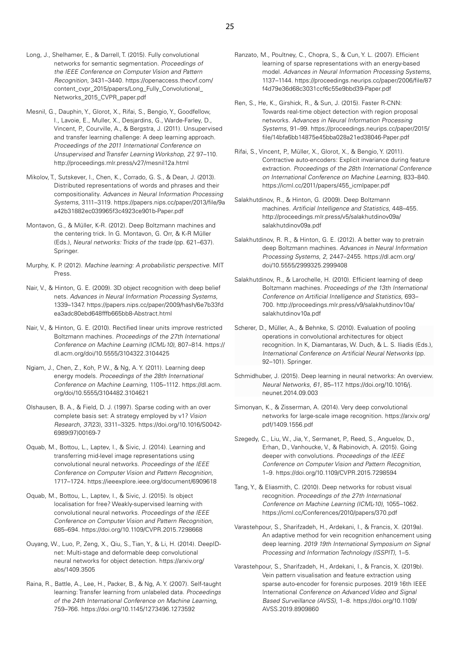- Long, J., Shelhamer, E., & Darrell, T. (2015). Fully convolutional networks for semantic segmentation. Proceedings of the IEEE Conference on Computer Vision and Pattern Recognition, 3431–3440. [https://openaccess.thecvf.com/](https://openaccess.thecvf.com/content_cvpr_2015/papers/Long_Fully_Convolutional_Networks_2015_CVPR_paper.pdf) [content\\_cvpr\\_2015/papers/Long\\_Fully\\_Convolutional\\_](https://openaccess.thecvf.com/content_cvpr_2015/papers/Long_Fully_Convolutional_Networks_2015_CVPR_paper.pdf) [Networks\\_2015\\_CVPR\\_paper.pdf](https://openaccess.thecvf.com/content_cvpr_2015/papers/Long_Fully_Convolutional_Networks_2015_CVPR_paper.pdf)
- Mesnil, G., Dauphin, Y., Glorot, X., Rifai, S., Bengio, Y., Goodfellow, I., Lavoie, E., Muller, X., Desjardins, G., Warde-Farley, D., Vincent, P., Courville, A., & Bergstra, J. (2011). Unsupervised and transfer learning challenge: A deep learning approach. Proceedings of the 2011 International Conference on Unsupervised and Transfer Learning Workshop, 27, 97–110. <http://proceedings.mlr.press/v27/mesnil12a.html>
- Mikolov, T., Sutskever, I., Chen, K., Corrado, G. S., & Dean, J. (2013). Distributed representations of words and phrases and their compositionality. Advances in Neural Information Processing Systems, 3111–3119. [https://papers.nips.cc/paper/2013/file/9a](https://papers.nips.cc/paper/2013/file/9aa42b31882ec039965f3c4923ce901b-Paper.pdf) [a42b31882ec039965f3c4923ce901b-Paper.pdf](https://papers.nips.cc/paper/2013/file/9aa42b31882ec039965f3c4923ce901b-Paper.pdf)
- Montavon, G., & Müller, K-R. (2012). Deep Boltzmann machines and the centering trick. In G. Montavon, G. Orr, & K-R Müller (Eds.), Neural networks: Tricks of the trade (pp. 621–637). Springer.
- Murphy, K. P. (2012). Machine learning: A probabilistic perspective. MIT Press.
- Nair, V., & Hinton, G. E. (2009). 3D object recognition with deep belief nets. Advances in Neural Information Processing Systems, 1339–1347. [https://papers.nips.cc/paper/2009/hash/6e7b33fd](https://papers.nips.cc/paper/2009/hash/6e7b33fdea3adc80ebd648fffb665bb8-Abstract.html) [ea3adc80ebd648fffb665bb8-Abstract.html](https://papers.nips.cc/paper/2009/hash/6e7b33fdea3adc80ebd648fffb665bb8-Abstract.html)
- Nair, V., & Hinton, G. E. (2010). Rectified linear units improve restricted Boltzmann machines. Proceedings of the 27th International Conference on Machine Learning (ICML-10), 807–814. [https://](https://dl.acm.org/doi/10.5555/3104322.3104425) [dl.acm.org/doi/10.5555/3104322.3104425](https://dl.acm.org/doi/10.5555/3104322.3104425)
- Ngiam, J., Chen, Z., Koh, P. W., & Ng, A. Y. (2011). Learning deep energy models. Proceedings of the 28th International Conference on Machine Learning, 1105–1112. [https://dl.acm.](https://dl.acm.org/doi/10.5555/3104482.3104621) [org/doi/10.5555/3104482.3104621](https://dl.acm.org/doi/10.5555/3104482.3104621)
- Olshausen, B. A., & Field, D. J. (1997). Sparse coding with an over complete basis set: A strategy employed by v1? Vision Research, 37(23), 3311–3325. [https://doi.org/10.1016/S0042-](https://doi.org/10.1016/S0042-6989(97)00169-7) [6989\(97\)00169-7](https://doi.org/10.1016/S0042-6989(97)00169-7)
- Oquab, M., Bottou, L., Laptev, I., & Sivic, J. (2014). Learning and transferring mid-level image representations using convolutional neural networks. Proceedings of the IEEE Conference on Computer Vision and Pattern Recognition, 1717–1724.<https://ieeexplore.ieee.org/document/6909618>
- Oquab, M., Bottou, L., Laptev, I., & Sivic, J. (2015). Is object localisation for free? Weakly-supervised learning with convolutional neural networks. Proceedings of the IEEE Conference on Computer Vision and Pattern Recognition, 685–694. <https://doi.org/10.1109/CVPR.2015.7298668>
- Ouyang, W., Luo, P., Zeng, X., Qiu, S., Tian, Y., & Li, H. (2014). DeepIDnet: Multi-stage and deformable deep convolutional neural networks for object detection. [https://arxiv.org/](https://arxiv.org/abs/1409.3505) [abs/1409.3505](https://arxiv.org/abs/1409.3505)
- Raina, R., Battle, A., Lee, H., Packer, B., & Ng, A. Y. (2007). Self-taught learning: Transfer learning from unlabeled data. Proceedings of the 24th International Conference on Machine Learning, 759–766.<https://doi.org/10.1145/1273496.1273592>
- Ranzato, M., Poultney, C., Chopra, S., & Cun, Y. L. (2007). Efficient learning of sparse representations with an energy-based model. Advances in Neural Information Processing Systems, 1137–1144. [https://proceedings.neurips.cc/paper/2006/file/87](https://proceedings.neurips.cc/paper/2006/file/87f4d79e36d68c3031ccf6c55e9bbd39-Paper.pdf) [f4d79e36d68c3031ccf6c55e9bbd39-Paper.pdf](https://proceedings.neurips.cc/paper/2006/file/87f4d79e36d68c3031ccf6c55e9bbd39-Paper.pdf)
- Ren, S., He, K., Girshick, R., & Sun, J. (2015). Faster R-CNN: Towards real-time object detection with region proposal networks. Advances in Neural Information Processing Systems, 91–99. [https://proceedings.neurips.cc/paper/2015/](https://proceedings.neurips.cc/paper/2015/file/14bfa6bb14875e45bba028a21ed38046-Paper.pdf) [file/14bfa6bb14875e45bba028a21ed38046-Paper.pdf](https://proceedings.neurips.cc/paper/2015/file/14bfa6bb14875e45bba028a21ed38046-Paper.pdf)
- Rifai, S., Vincent, P., Müller, X., Glorot, X., & Bengio, Y. (2011). Contractive auto-encoders: Explicit invariance during feature extraction. Proceedings of the 28th International Conference on International Conference on Machine Learning, 833–840. [https://icml.cc/2011/papers/455\\_icmlpaper.pdf](https://icml.cc/2011/papers/455_icmlpaper.pdf)
- Salakhutdinov, R., & Hinton, G. (2009). Deep Boltzmann machines. Artificial Intelligence and Statistics, 448–455. [http://proceedings.mlr.press/v5/salakhutdinov09a/](http://proceedings.mlr.press/v5/salakhutdinov09a/salakhutdinov09a.pdf) [salakhutdinov09a.pdf](http://proceedings.mlr.press/v5/salakhutdinov09a/salakhutdinov09a.pdf)
- Salakhutdinov, R. R., & Hinton, G. E. (2012). A better way to pretrain deep Boltzmann machines. Advances in Neural Information Processing Systems, 2, 2447–2455. [https://dl.acm.org/](https://dl.acm.org/doi/10.5555/2999325.2999408) [doi/10.5555/2999325.2999408](https://dl.acm.org/doi/10.5555/2999325.2999408)
- Salakhutdinov, R., & Larochelle, H. (2010). Efficient learning of deep Boltzmann machines. Proceedings of the 13th International Conference on Artificial Intelligence and Statistics, 693– 700. [http://proceedings.mlr.press/v9/salakhutdinov10a/](http://proceedings.mlr.press/v9/salakhutdinov10a/salakhutdinov10a.pdf) [salakhutdinov10a.pdf](http://proceedings.mlr.press/v9/salakhutdinov10a/salakhutdinov10a.pdf)
- Scherer, D., Müller, A., & Behnke, S. (2010). Evaluation of pooling operations in convolutional architectures for object recognition. In K, Diamantaras, W. Duch, & L. S. Iliadis (Eds.), International Conference on Artificial Neural Networks (pp. 92–101). Springer.
- Schmidhuber, J. (2015). Deep learning in neural networks: An overview. Neural Networks, 61, 85–117. [https://doi.org/10.1016/j.](https://doi.org/10.1016/j.neunet.2014.09.003) [neunet.2014.09.003](https://doi.org/10.1016/j.neunet.2014.09.003)
- Simonyan, K., & Zisserman, A. (2014). Very deep convolutional networks for large-scale image recognition. [https://arxiv.org/](https://arxiv.org/pdf/1409.1556.pdf) [pdf/1409.1556.pdf](https://arxiv.org/pdf/1409.1556.pdf)
- Szegedy, C., Liu, W., Jia, Y., Sermanet, P., Reed, S., Anguelov, D., Erhan, D., Vanhoucke, V., & Rabinovich, A. (2015). Going deeper with convolutions. Proceedings of the IEEE Conference on Computer Vision and Pattern Recognition, 1–9.<https://doi.org/10.1109/CVPR.2015.7298594>
- Tang, Y., & Eliasmith, C. (2010). Deep networks for robust visual recognition. Proceedings of the 27th International Conference on Machine Learning (ICML-10), 1055–1062. https://icml.cc/Conferences/2010/papers/370.pdf
- Varastehpour, S., Sharifzadeh, H., Ardekani, I., & Francis, X. (2019a). An adaptive method for vein recognition enhancement using deep learning. 2019 19th International Symposium on Signal Processing and Information Technology (ISSPIT), 1–5.
- Varastehpour, S., Sharifzadeh, H., Ardekani, I., & Francis, X. (2019b). Vein pattern visualisation and feature extraction using sparse auto-encoder for forensic purposes. 2019 16th IEEE International Conference on Advanced Video and Signal Based Surveillance (AVSS), 1–8. [https://doi.org/10.1109/](https://doi.org/10.1109/AVSS.2019.8909860) [AVSS.2019.8909860](https://doi.org/10.1109/AVSS.2019.8909860)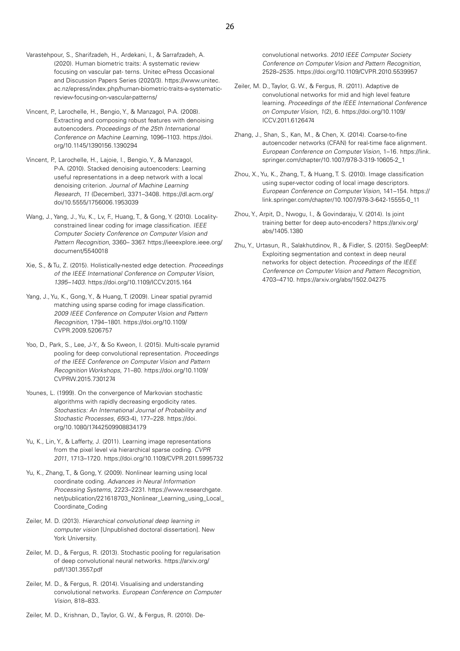- Varastehpour, S., Sharifzadeh, H., Ardekani, I., & Sarrafzadeh, A. (2020). Human biometric traits: A systematic review focusing on vascular pat- terns. Unitec ePress Occasional and Discussion Papers Series (2020/3). [https://www.unitec.](https://www.unitec.ac.nz/epress/index.php/human-biometric-traits-a-systematic-review-focusing-on-vascular-patterns/) [ac.nz/epress/index.php/human-biometric-traits-a-systematic](https://www.unitec.ac.nz/epress/index.php/human-biometric-traits-a-systematic-review-focusing-on-vascular-patterns/)[review-focusing-on-vascular-patterns/](https://www.unitec.ac.nz/epress/index.php/human-biometric-traits-a-systematic-review-focusing-on-vascular-patterns/)
- Vincent, P., Larochelle, H., Bengio, Y., & Manzagol, P-A. (2008). Extracting and composing robust features with denoising autoencoders. Proceedings of the 25th International Conference on Machine Learning, 1096–1103. [https://doi.](https://doi.org/10.1145/1390156.1390294) [org/10.1145/1390156.1390294](https://doi.org/10.1145/1390156.1390294)
- Vincent, P., Larochelle, H., Lajoie, I., Bengio, Y., & Manzagol, P-A. (2010). Stacked denoising autoencoders: Learning useful representations in a deep network with a local denoising criterion. Journal of Machine Learning Research, 11 (December), 3371–3408. [https://dl.acm.org/](https://dl.acm.org/doi/10.5555/1756006.1953039) [doi/10.5555/1756006.1953039](https://dl.acm.org/doi/10.5555/1756006.1953039)
- Wang, J., Yang, J., Yu, K., Lv, F., Huang, T., & Gong, Y. (2010). Localityconstrained linear coding for image classification. IEEE Computer Society Conference on Computer Vision and Pattern Recognition, 3360– 3367. [https://ieeexplore.ieee.org/](https://ieeexplore.ieee.org/document/5540018) [document/5540018](https://ieeexplore.ieee.org/document/5540018)
- Xie, S., & Tu, Z. (2015). Holistically-nested edge detection. Proceedings of the IEEE International Conference on Computer Vision, 1395–1403.<https://doi.org/10.1109/ICCV.2015.164>
- Yang, J., Yu, K., Gong, Y., & Huang, T. (2009). Linear spatial pyramid matching using sparse coding for image classification. 2009 IEEE Conference on Computer Vision and Pattern Recognition, 1794–1801. [https://doi.org/10.1109/](https://doi.org/10.1109/CVPR.2009.5206757) [CVPR.2009.5206757](https://doi.org/10.1109/CVPR.2009.5206757)
- Yoo, D., Park, S., Lee, J-Y., & So Kweon, I. (2015). Multi-scale pyramid pooling for deep convolutional representation. Proceedings of the IEEE Conference on Computer Vision and Pattern Recognition Workshops, 71–80. [https://doi.org/10.1109/](https://doi.org/10.1109/CVPRW.2015.7301274) [CVPRW.2015.7301274](https://doi.org/10.1109/CVPRW.2015.7301274)
- Younes, L. (1999). On the convergence of Markovian stochastic algorithms with rapidly decreasing ergodicity rates. Stochastics: An International Journal of Probability and Stochastic Processes, 65(3-4), 177–228. [https://doi.](https://doi.org/10.1080/17442509908834179) [org/10.1080/17442509908834179](https://doi.org/10.1080/17442509908834179)
- Yu, K., Lin, Y., & Lafferty, J. (2011). Learning image representations from the pixel level via hierarchical sparse coding. CVPR 2011, 1713–1720. <https://doi.org/10.1109/CVPR.2011.5995732>
- Yu, K., Zhang, T., & Gong, Y. (2009). Nonlinear learning using local coordinate coding. Advances in Neural Information Processing Systems, 2223–2231. [https://www.researchgate.](https://www.researchgate.net/publication/221618703_Nonlinear_Learning_using_Local_Coordinate_Coding) [net/publication/221618703\\_Nonlinear\\_Learning\\_using\\_Local\\_](https://www.researchgate.net/publication/221618703_Nonlinear_Learning_using_Local_Coordinate_Coding) [Coordinate\\_Coding](https://www.researchgate.net/publication/221618703_Nonlinear_Learning_using_Local_Coordinate_Coding)
- Zeiler, M. D. (2013). Hierarchical convolutional deep learning in computer vision [Unpublished doctoral dissertation]. New York University.
- Zeiler, M. D., & Fergus, R. (2013). Stochastic pooling for regularisation of deep convolutional neural networks. [https://arxiv.org/](https://arxiv.org/pdf/1301.3557.pdf) [pdf/1301.3557.pdf](https://arxiv.org/pdf/1301.3557.pdf)
- Zeiler, M. D., & Fergus, R. (2014). Visualising and understanding convolutional networks. European Conference on Computer Vision, 818–833.

Zeiler, M. D., Krishnan, D., Taylor, G. W., & Fergus, R. (2010). De-

- Zeiler, M. D., Taylor, G. W., & Fergus, R. (2011). Adaptive de convolutional networks for mid and high level feature learning. Proceedings of the IEEE International Conference on Computer Vision, 1(2), 6. [https://doi.org/10.1109/](https://doi.org/10.1109/ICCV.2011.6126474) [ICCV.2011.6126474](https://doi.org/10.1109/ICCV.2011.6126474)
- Zhang, J., Shan, S., Kan, M., & Chen, X. (2014). Coarse-to-fine autoencoder networks (CFAN) for real-time face alignment. European Conference on Computer Vision, 1–16. [https://link.](https://link.springer.com/chapter/10.1007/978-3-319-10605-2_1) [springer.com/chapter/10.1007/978-3-319-10605-2\\_1](https://link.springer.com/chapter/10.1007/978-3-319-10605-2_1)
- Zhou, X., Yu, K., Zhang, T., & Huang, T. S. (2010). Image classification using super-vector coding of local image descriptors. European Conference on Computer Vision, 141–154. [https://](https://link.springer.com/chapter/10.1007/978-3-642-15555-0_11) [link.springer.com/chapter/10.1007/978-3-642-15555-0\\_11](https://link.springer.com/chapter/10.1007/978-3-642-15555-0_11)
- Zhou, Y., Arpit, D., Nwogu, I., & Govindaraju, V. (2014). Is joint training better for deep auto-encoders? [https://arxiv.org/](https://arxiv.org/abs/1405.1380) [abs/1405.1380](https://arxiv.org/abs/1405.1380)
- Zhu, Y., Urtasun, R., Salakhutdinov, R., & Fidler, S. (2015). SegDeepM: Exploiting segmentation and context in deep neural networks for object detection. Proceedings of the IEEE Conference on Computer Vision and Pattern Recognition, 4703–4710. <https://arxiv.org/abs/1502.04275>